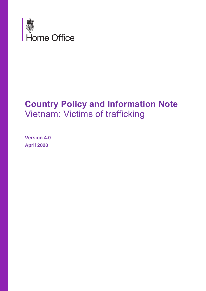

# **Country Policy and Information Note** Vietnam: Victims of trafficking

**Version 4.0 April 2020**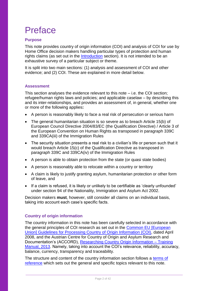# Preface

# **Purpose**

This note provides country of origin information (COI) and analysis of COI for use by Home Office decision makers handling particular types of protection and human rights claims (as set out in the [Introduction](#page-5-0) section). It is not intended to be an exhaustive survey of a particular subject or theme.

It is split into two main sections: (1) analysis and assessment of COI and other evidence; and (2) COI. These are explained in more detail below.

## **Assessment**

This section analyses the evidence relevant to this note – i.e. the COI section; refugee/human rights laws and policies; and applicable caselaw – by describing this and its inter-relationships, and provides an assessment of, in general, whether one or more of the following applies**:**

- A person is reasonably likely to face a real risk of persecution or serious harm
- The general humanitarian situation is so severe as to breach Article 15(b) of European Council Directive 2004/83/EC (the Qualification Directive) / Article 3 of the European Convention on Human Rights as transposed in paragraph 339C and 339CA(iii) of the Immigration Rules
- The security situation presents a real risk to a civilian's life or person such that it would breach Article 15(c) of the Qualification Directive as transposed in paragraph 339C and 339CA(iv) of the Immigration Rules
- A person is able to obtain protection from the state (or quasi state bodies)
- A person is reasonably able to relocate within a country or territory
- A claim is likely to justify granting asylum, humanitarian protection or other form of leave, and
- If a claim is refused, it is likely or unlikely to be certifiable as 'clearly unfounded' under section 94 of the Nationality, Immigration and Asylum Act 2002.

Decision makers **must**, however, still consider all claims on an individual basis, taking into account each case's specific facts.

## **Country of origin information**

The country information in this note has been carefully selected in accordance with the general principles of COI research as set out in the [Common EU \[European](http://www.refworld.org/docid/48493f7f2.html)  [Union\] Guidelines for Processing Country of Origin Information \(COI\),](http://www.refworld.org/docid/48493f7f2.html) dated April 2008, and the Austrian Centre for Country of Origin and Asylum Research and Documentation's (ACCORD), [Researching Country Origin Information –](https://www.coi-training.net/researching-coi/) Training [Manual, 2013.](https://www.coi-training.net/researching-coi/) Namely, taking into account the COI's relevance, reliability, accuracy, balance, currency, transparency and traceability.

The structure and content of the country information section follows a [terms of](#page-35-0)  [reference](#page-35-0) which sets out the general and specific topics relevant to this note.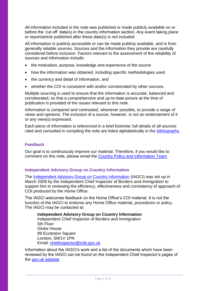<span id="page-2-0"></span>All information included in the note was published or made publicly available on or before the 'cut-off' date(s) in the country information section. Any event taking place or report/article published after these date(s) is not included.

All information is publicly accessible or can be made publicly available, and is from generally reliable sources. Sources and the information they provide are carefully considered before inclusion. Factors relevant to the assessment of the reliability of sources and information include:

- the motivation, purpose, knowledge and experience of the source
- how the information was obtained, including specific methodologies used
- the currency and detail of information, and
- whether the COI is consistent with and/or corroborated by other sources.

Multiple sourcing is used to ensure that the information is accurate, balanced and corroborated, so that a comprehensive and up-to-date picture at the time of publication is provided of the issues relevant to this note.

Information is compared and contrasted, whenever possible, to provide a range of views and opinions. The inclusion of a source, however, is not an endorsement of it or any view(s) expressed.

Each piece of information is referenced in a brief footnote; full details of all sources cited and consulted in compiling the note are listed alphabetically in the [bibliography.](#page-37-0)

## **Feedback**

Our goal is to continuously improve our material. Therefore, if you would like to comment on this note, please email the [Country Policy and Information Team.](mailto:cipu@homeoffice.gov.uk)

## **Independent Advisory Group on Country Information**

The [Independent Advisory Group on Country Information](https://www.gov.uk/government/organisations/independent-chief-inspector-of-borders-and-immigration/about/research) (IAGCI) was set up in March 2009 by the Independent Chief Inspector of Borders and Immigration to support him in reviewing the efficiency, effectiveness and consistency of approach of COI produced by the Home Office.

The IAGCI welcomes feedback on the Home Office's COI material. It is not the function of the IAGCI to endorse any Home Office material, procedures or policy. The IAGCI may be contacted at:

**Independent Advisory Group on Country Information**  Independent Chief Inspector of Borders and Immigration 5th Floor Globe House 89 Eccleston Square London, SW1V 1PN Email: [chiefinspector@icibi.gov.uk](mailto:chiefinspector@icibi.gov.uk)

Information about the IAGCI's work and a list of the documents which have been reviewed by the IAGCI can be found on the Independent Chief Inspector's pages of the [gov.uk website.](https://www.gov.uk/government/organisations/independent-chief-inspector-of-borders-and-immigration/about/research#reviews)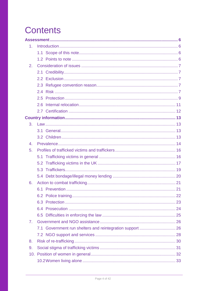# **Contents**

| 1 <sub>1</sub> |                                                           |  |
|----------------|-----------------------------------------------------------|--|
|                |                                                           |  |
|                |                                                           |  |
| 2.             |                                                           |  |
|                |                                                           |  |
|                |                                                           |  |
|                |                                                           |  |
|                |                                                           |  |
|                |                                                           |  |
|                |                                                           |  |
|                |                                                           |  |
|                |                                                           |  |
| 3.             |                                                           |  |
|                |                                                           |  |
|                |                                                           |  |
| 4.             |                                                           |  |
| 5.             |                                                           |  |
|                |                                                           |  |
|                |                                                           |  |
|                |                                                           |  |
|                |                                                           |  |
| 6.             |                                                           |  |
|                |                                                           |  |
|                |                                                           |  |
|                |                                                           |  |
|                |                                                           |  |
|                |                                                           |  |
| 7 <sub>1</sub> |                                                           |  |
|                | 7.1 Government run shelters and reintegration support  26 |  |
|                |                                                           |  |
| 8.             |                                                           |  |
| 9.             |                                                           |  |
|                |                                                           |  |
|                |                                                           |  |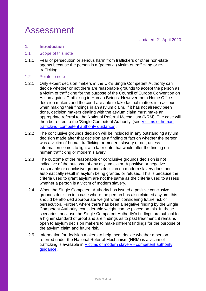# <span id="page-5-1"></span>Assessment

# <span id="page-5-0"></span>**1. Introduction**

## <span id="page-5-2"></span>1.1 Scope of this note

- 1.1.1 Fear of persecution or serious harm from traffickers or other non-state agents because the person is a (potential) victim of trafficking or retrafficking.
- <span id="page-5-3"></span>1.2 Points to note
- 1.2.1 Only expert decision makers in the UK's Single Competent Authority can decide whether or not there are reasonable grounds to accept the person as a victim of trafficking for the purpose of the Council of Europe Convention on Action against Trafficking in Human Beings. However, both Home Office decision makers and the court are able to take factual matters into account when making their findings in an asylum claim. If it has not already been done, decision makers dealing with the asylum claim must make an appropriate referral to the National Referral Mechanism (NRM). The case will then be routed to the 'Single Competent Authority' (see [Victims of human](https://www.gov.uk/government/uploads/system/uploads/attachment_data/file/298421/traffickingcompetent.pdf)  [trafficking: competent authority guidance\)](https://www.gov.uk/government/uploads/system/uploads/attachment_data/file/298421/traffickingcompetent.pdf).
- 1.2.2 The conclusive grounds decision will be included in any outstanding asylum decision made after that decision as a finding of fact on whether the person was a victim of human trafficking or modern slavery or not, unless information comes to light at a later date that would alter the finding on human trafficking or modern slavery.
- 1.2.3 The outcome of the reasonable or conclusive grounds decision is not indicative of the outcome of any asylum claim. A positive or negative reasonable or conclusive grounds decision on modern slavery does not automatically result in asylum being granted or refused. This is because the criteria used to grant asylum are not the same as the criteria used to assess whether a person is a victim of modern slavery.
- 1.2.4 When the Single Competent Authority has issued a positive conclusive grounds decision in a case where the person has also claimed asylum, this should be afforded appropriate weight when considering future risk of persecution. Further, where there has been a negative finding by the Single Competent Authority, considerable weight can be placed on this. In these scenarios, because the Single Competent Authority's findings are subject to a higher standard of proof and are findings as to past treatment, it remains open to asylum decision makers to make different findings for the purpose of the asylum claim and future risk.
- 1.2.5 Information for decision makers to help them decide whether a person referred under the National Referral Mechanism (NRM) is a victim of trafficking is available in [Victims of modern slavery -](https://www.gov.uk/search?q=modern+slavery+competent+authority+guidance) competent authority [guidance.](https://www.gov.uk/search?q=modern+slavery+competent+authority+guidance)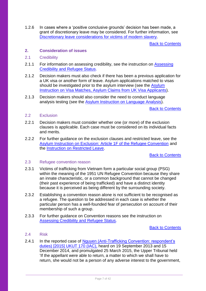1.2.6 In cases where a 'positive conclusive grounds' decision has been made, a grant of discretionary leave may be considered. For further information, see [Discretionary leave considerations for victims of modern slavery.](https://www.ein.org.uk/sites/default/files/resource/dl-for-victims-of-modern-slavery-v2.pdf)

[Back to Contents](#page-2-0)

## <span id="page-6-0"></span>**2. Consideration of issues**

## <span id="page-6-1"></span>2.1 Credibility

- 2.1.1 For information on assessing credibility, see the instruction on Assessing [Credibility and Refugee Status.](https://www.gov.uk/government/publications/considering-asylum-claims-and-assessing-credibility-instruction)
- 2.1.2 Decision makers must also check if there has been a previous application for a UK visa or another form of leave. Asylum applications matched to visas should be investigated prior to the asylum interview (see the Asylum [Instruction on Visa Matches, Asylum Claims from UK Visa Applicants\)](https://www.gov.uk/government/publications/visa-matches-handling-asylum-claims-from-uk-visa-applicants-instruction).
- 2.1.3 Decision makers should also consider the need to conduct language analysis testing (see the [Asylum Instruction on Language Analysis\)](https://www.gov.uk/government/publications/language-analysis-instruction).

[Back to Contents](#page-2-0)

## <span id="page-6-2"></span>2.2 Exclusion

- 2.2.1 Decision makers must consider whether one (or more) of the exclusion clauses is applicable. Each case must be considered on its individual facts and merits.
- 2.2.2 For further guidance on the exclusion clauses and restricted leave, see the [Asylum Instruction on Exclusion: Article 1F of the Refugee Convention](https://www.gov.uk/government/publications/asylum-instruction-exclusion-article-1f-of-the-refugee-convention) and the [Instruction on Restricted Leave.](https://www.gov.uk/government/publications/restricted-leave-asylum-casework-instruction)

[Back to Contents](#page-2-0)

## <span id="page-6-3"></span>2.3 Refugee convention reason

- 2.3.1 Victims of trafficking from Vietnam form a particular social group (PSG) within the meaning of the 1951 UN Refugee Convention because they share an innate characteristic, or a common background that cannot be changed (their past experience of being trafficked) and have a distinct identity because it is perceived as being different by the surrounding society.
- 2.3.2 Establishing a convention reason alone is not sufficient to be recognised as a refugee. The question to be addressed in each case is whether the particular person has a well-founded fear of persecution on account of their membership of such a group.
- 2.3.3 For further guidance on Convention reasons see the instruction on [Assessing Credibility and Refugee Status.](https://www.gov.uk/government/publications/considering-asylum-claims-and-assessing-credibility-instruction)

[Back to Contents](#page-2-0)

# <span id="page-6-4"></span>2.4 Risk

2.4.1 In the reported case of Nguyen (Anti-Trafficking Convention: respondent's [duties\) \[2015\] UKUT 170 \(IAC\),](http://www.bailii.org/uk/cases/UKUT/IAC/2015/170.html) heard on 19 September 2013 and 15 December 2014, and promulgated 25 March 2015, the Upper Tribunal held 'If the appellant were able to return, a matter to which we shall have to return, she would not be a person of any adverse interest to the government,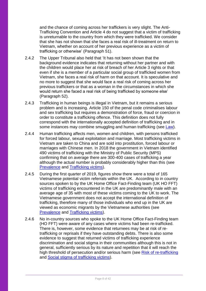and the chance of coming across her traffickers is very slight. The Anti-Trafficking Convention and Article 4 do not suggest that a victim of trafficking is unreturnable to the country from which they were trafficked. We consider that she has not shown that she faces a real risk of ill-treatment on return to Vietnam, whether on account of her previous experience as a victim of trafficking or otherwise' (Paragraph 51).

- 2.4.2 The Upper Tribunal also held that 'It has not been shown that the background evidence indicates that returning without her partner and with the children would place her at risk of breach of her Article 3 rights or that even if she is a member of a particular social group of trafficked women from Vietnam, she faces a real risk of harm on that account. It is speculative and no more to suggest that she would face a real risk of coming across her previous traffickers or that as a woman in the circumstances in which she would return she faced a real risk of being trafficked by someone else' (Paragraph 52).
- 2.4.3 Trafficking in human beings is illegal in Vietnam, but it remains a serious problem and is increasing. Article 150 of the penal code criminalises labour and sex trafficking but requires a demonstration of force, fraud or coercion in order to constitute a trafficking offence. This definition does not fully correspond with the internationally accepted definition of trafficking and in some instances may combine smuggling and human trafficking (see [Law\)](#page-12-1).
- 2.4.4 Human trafficking affects men, women and children, with persons trafficked for forced labour, sexual exploitation and marriage. Most trafficking victims in Vietnam are taken to China and are sold into prostitution, forced labour or marriages with Chinese men. In 2018 the government in Vietnam identified 490 victims of trafficking with the Ministry of Public Security (MPS) confirming that on average there are 300-400 cases of trafficking a year although the actual number is probably considerably higher than this (see [Prevalence](#page-13-0) and [Trafficking victims\)](#page-15-1).
- 2.4.5 During the first quarter of 2019, figures show there were a total of 165 Vietnamese potential victim referrals within the UK. According to in country sources spoken to by the UK Home Office Fact-Finding team (UK HO FFT) victims of trafficking encountered in the UK are predominantly male with an average age of 35 with most of these victims coming to the UK to work. The Vietnamese government does not accept the international definition of trafficking, therefore many of those individuals who end up in the UK are viewed as economic migrants by the Vietnamese authorities (see [Prevalence](#page-13-0) and [Trafficking victims\)](#page-15-1).
- 2.4.6 No in-country sources who spoke to the UK Home Office Fact-Finding team (HO FFT) were aware of any cases where victims had been re-trafficked. There is, however, some evidence that returnees may be at risk of retrafficking or reprisals if they have outstanding debts. There is also some evidence to suggest that returned victims of trafficking experience discrimination and social stigma in their communities although this is not in general, sufficiently serious by its nature and repetition that it will reach the high threshold of persecution and/or serious harm (see [Risk of re-trafficking](#page-29-0) and [Social stigma of trafficking victims\)](#page-30-0).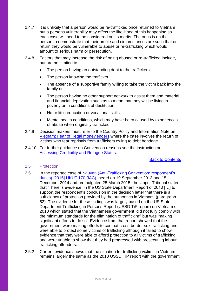- 2.4.7 It is unlikely that a person would be re-trafficked once returned to Vietnam but a persons vulnerability may effect the likelihood of this happening so each case will need to be considered on its merits. The onus is on the person to demonstrate that their profile and circumstances are such that on return they would be vulnerable to abuse or re-trafficking which would amount to serious harm or persecution.
- 2.4.8 Factors that may increase the risk of being abused or re-trafficked include, but are not limited to:
	- The person having an outstanding debt to the traffickers
	- The person knowing the trafficker
	- The absence of a supportive family willing to take the victim back into the family unit
	- The person having no other support network to assist them and material and financial deprivation such as to mean that they will be living in poverty or in conditions of destitution
	- No or little education or vocational skills
	- Mental health conditions, which may have been caused by experiences of abuse when originally trafficked
- 2.4.9 Decision makers must refer to the Country Policy and Information Note on [Vietnam: Fear of illegal moneylenders](https://www.gov.uk/government/publications/vietnam-country-policy-and-information-notes) where the case involves the return of victims who fear reprisals from traffickers owing to debt bondage.
- 2.4.10 For further guidance on Convention reasons see the instruction on [Assessing Credibility and Refugee Status.](https://www.gov.uk/government/publications/considering-asylum-claims-and-assessing-credibility-instruction)

[Back to Contents](#page-2-0)

## <span id="page-8-0"></span>2.5 Protection

- 2.5.1 In the reported case of Nguyen (Anti-Trafficking Convention: respondent's [duties\) \[2015\] UKUT 170 \(IAC\),](http://www.bailii.org/cgi-bin/format.cgi?doc=/uk/cases/UKUT/IAC/2015/170.html&query=(Anti-Trafficking+OR+Convention)) heard on 19 September 2013 and 15 December 2014 and promulgated 25 March 2015, the Upper Tribunal stated that 'There is evidence, in the US State Department Report of 2010 […] to support the respondent's conclusion in the decision letter that there is a sufficiency of protection provided by the authorities in Vietnam' (paragraph 52). The evidence for these findings was largely based on the US State Department Trafficking in Persons Report (USSD TiP report) on Vietnam of 2010 which stated that the Vietnamese government 'did not fully comply with the minimum standards for the elimination of trafficking' but was 'making significant efforts to do so'. Evidence from that report showed that the government were making efforts to combat cross-border sex trafficking and were able to protect some victims of trafficking although it failed to show evidence that they were able to afford protection to all victims of trafficking and were unable to show that they had progressed with prosecuting labour trafficking offenders.
- 2.5.2 Current evidence shows that the situation for trafficking victims in Vietnam remains largely the same as the 2010 USSD TiP report with the government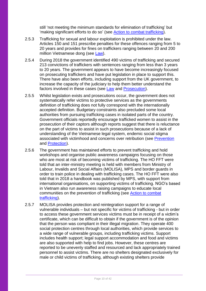still 'not meeting the minimum standards for elimination of trafficking' but 'making significant efforts to do so' (see [Action to combat trafficking\)](#page-20-0).

- 2.5.3 Trafficking for sexual and labour exploitation is prohibited under the law. Articles 150 and 151 prescribe penalties for these offences ranging from 5 to 20 years and provides for fines on traffickers ranging between 20 and 200 million Vietnamese dong (see [Law\)](#page-12-1).
- 2.5.4 During 2018 the government identified 490 victims of trafficking and secured 213 convictions of traffickers with sentences ranging from less than 3 years to 20 years. The government appears to have become increasingly focused on prosecuting traffickers and have put legislation in place to support this. There have also been efforts, including support from the UK government, to increase the capacity of the judiciary to help them better understand the factors involved in these cases (see [Law](#page-12-1) and [Prosecution\)](#page-23-0).
- 2.5.5 Whilst legislation exists and prosecutions occur, the government does not systematically refer victims to protective services as the governments definition of trafficking does not fully correspond with the internationally accepted definition. Budgetary constraints also precluded some local authorities from pursuing trafficking cases in isolated parts of the country. Government officials reportedly encourage trafficked women to assist in the prosecution of their captors although reports suggest that there is reluctance on the part of victims to assist in such prosecutions because of a lack of understanding of the Vietnamese legal system, endemic social stigma associated with victimhood and concerns over retribution (see [Prevention](#page-20-1) and [Protection\)](#page-22-0).
- 2.5.6 The government has maintained efforts to prevent trafficking and hold workshops and organise public awareness campaigns focusing on those who are most at risk of becoming victims of trafficking. The HO FFT were told that an inter-ministry meeting is held with members from Ministry of Labour, Invalids and Social Affairs (MOLISA), MPS and border guards in order to train police in dealing with trafficking cases. The HO FFT were also told that in 2018 a handbook was published by MPS, with support from international organisations, on supporting victims of trafficking. NGO's based in Vietnam also run awareness raising campaigns to educate local communities on the prevention of trafficking (see [Action to combat](#page-20-0)  [trafficking\)](#page-20-0).
- 2.5.7 MOLISA provides protection and reintegration support for a range of vulnerable individuals – but not specific for victims of trafficking - but in order to access these government services victims must be in receipt of a victim's certificate, which can be difficult to obtain if the government is of the opinion that the person was compliant in their illegal migration. They operate 400 social protection centres through local authorities, which provide services to a wide range of vulnerable groups, including trafficking victims. Support includes health support; legal support accommodation and food and victims are also supported with help to find jobs. However, these centres are reported to be unevenly staffed and resourced and lack appropriately trained personnel to assist victims. There are no shelters designated exclusively for male or child victims of trafficking, although existing shelters provide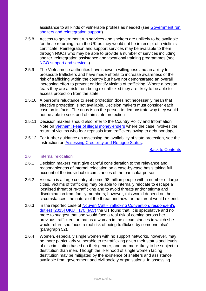assistance to all kinds of vulnerable profiles as needed (see [Government run](#page-25-1)  [shelters and reintegration](#page-25-1) support).

- 2.5.8 Access to government run services and shelters are unlikely to be available for those returning from the UK as they would not be in receipt of a victim's certificate. Reintegration and support services may be available to them through NGOs who may be able to provide a number of services including shelter, reintegration assistance and vocational training programmes (see [NGO support and services\)](#page-27-0).
- 2.5.9 The Vietnamese authorities have shown a willingness and an ability to prosecute traffickers and have made efforts to increase awareness of the risk of trafficking within the country but have not demonstrated an overall increasing effort to prevent or identify victims of trafficking. Where a person fears they are at risk from being re-trafficked they are likely to be able to access protection from the state.
- 2.5.10 A person's reluctance to seek protection does not necessarily mean that effective protection is not available. Decision makers must consider each case on its facts. The onus is on the person to demonstrate why they would not be able to seek and obtain state protection
- 2.5.11 Decision makers should also refer to the Country Policy and Information Note on [Vietnam: Fear of illegal moneylenders](https://www.gov.uk/government/publications/vietnam-country-policy-and-information-notes) where the case involves the return of victims who fear reprisals from traffickers owing to debt bondage.
- 2.5.12 For further guidance on assessing the availability of state protection, see the instruction on [Assessing Credibility and Refugee Status.](https://www.gov.uk/government/publications/considering-asylum-claims-and-assessing-credibility-instruction)

[Back to Contents](#page-2-0)

#### <span id="page-10-0"></span>2.6 Internal relocation

- 2.6.1 Decision makers must give careful consideration to the relevance and reasonableness of internal relocation on a case-by-case basis taking full account of the individual circumstances of the particular person.
- 2.6.2 Vietnam is a large country of some 98 million people with a number of large cities. Victims of trafficking may be able to internally relocate to escape a localised threat of re-trafficking and to avoid threats and/or stigma and discrimination from family members; however, this would depend on their circumstances, the nature of the threat and how far the threat would extend.
- 2.6.3 In the reported case of Nguyen (Anti-Trafficking Convention: respondent's [duties\) \[2015\] UKUT 170 \(IAC\)](http://www.bailii.org/uk/cases/UKUT/IAC/2015/170.html) the UT found that 'It is speculative and no more to suggest that she would face a real risk of coming across her previous traffickers or that as a woman in the circumstances in which she would return she faced a real risk of being trafficked by someone else' (paragraph 52).
- 2.6.4 Women, especially single women with no support networks, however, may be more particularly vulnerable to re-trafficking given their status and levels of discrimination based on their gender, and are more likely to be subject to destitution than men. Though the likelihood of single women facing destitution may be mitigated by the existence of shelters and assistance available from government and civil society organisations. In assessing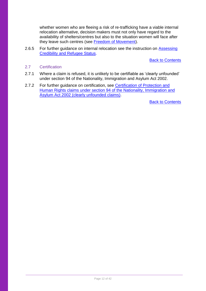whether women who are fleeing a risk of re-trafficking have a viable internal relocation alternative, decision makers must not only have regard to the availability of shelters/centres but also to the situation women will face after they leave such centres (see [Freedom of Movement\)](#page-33-2).

2.6.5 For further guidance on internal relocation see the instruction on Assessing [Credibility and Refugee Status.](https://www.gov.uk/government/publications/considering-asylum-claims-and-assessing-credibility-instruction)

[Back to Contents](#page-2-0)

#### <span id="page-11-0"></span>2.7 Certification

- 2.7.1 Where a claim is refused, it is unlikely to be certifiable as 'clearly unfounded' under section 94 of the Nationality, Immigration and Asylum Act 2002.
- <span id="page-11-1"></span>2.7.2 For further guidance on certification, see Certification of Protection and [Human Rights claims under section 94 of the Nationality, Immigration and](https://www.gov.uk/government/publications/non-suspensive-appeals-certification-under-section-94-of-the-nia-act-2002-process)  [Asylum Act 2002 \(clearly unfounded claims\).](https://www.gov.uk/government/publications/non-suspensive-appeals-certification-under-section-94-of-the-nia-act-2002-process)

[Back to Contents](#page-2-0)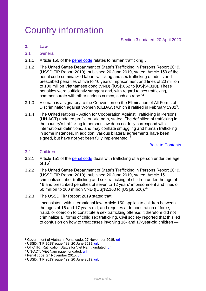# <span id="page-12-0"></span>Country information

# <span id="page-12-1"></span>**3. Law**

#### <span id="page-12-2"></span>3.1 General

- 3.1.1 Article 150 of the [penal code](https://www.wipo.int/edocs/lexdocs/laws/en/vn/vn086en.pdf) relates to human trafficking<sup>1</sup>.
- 3.1.2 The United States Department of State's Trafficking in Persons Report 2019, (USSD TiP Report 2019), published 20 June 2019, stated 'Article 150 of the penal code criminalized labor trafficking and sex trafficking of adults and prescribed penalties of five to 10 years' imprisonment and fines of 20 million to 100 million Vietnamese dong (VND) ([US]\$862 to [US]\$4,310). These penalties were sufficiently stringent and, with regard to sex trafficking, commensurate with other serious crimes, such as rape.'<sup>2</sup>
- 3.1.3 Vietnam is a signatory to the Convention on the Elimination of All Forms of Discrimination against Women (CEDAW) which it ratified in February 1982<sup>3</sup>.
- 3.1.4 The United Nations Action for Cooperation Against Trafficking in Persons (UN-ACT) undated profile on Vietnam, stated 'The definition of trafficking in the country's trafficking in persons law does not fully correspond with international definitions, and may conflate smuggling and human trafficking in some instances. In addition, various bilateral agreements have been signed, but have not vet been fully implemented.<sup>'4</sup>

[Back to Contents](#page-2-0)

#### <span id="page-12-3"></span>3.2 Children

- 3.2.1 Article 151 of the [penal code](https://www.wipo.int/edocs/lexdocs/laws/en/vn/vn086en.pdf) deals with trafficking of a person under the age of 16<sup>5</sup>.
- 3.2.2 The United States Department of State's Trafficking in Persons Report 2019, (USSD TiP Report 2019), published 20 June 2019, stated 'Article 151 criminalized labor trafficking and sex trafficking of children under the age of 16 and prescribed penalties of seven to 12 years' imprisonment and fines of 50 million to 200 million VND ([US]\$2,160 to [US]\$8,620).' 6
- 3.2.3 The USSD TiP Report 2019 stated that

'Inconsistent with international law, Article 150 applies to children between the ages of 16 and 17 years old, and requires a demonstration of force, fraud, or coercion to constitute a sex trafficking offense; it therefore did not criminalize all forms of child sex trafficking. Civil society reported that this led to confusion on how to treat cases involving 16- and 17-year-old children —

<sup>-</sup><sup>1</sup> Government of Vietnam, Penal code, 27 November 2015, [url](https://www.wipo.int/edocs/lexdocs/laws/en/vn/vn086en.pdf)

<sup>&</sup>lt;sup>2</sup> USSD, 'TiP 2019' page 499, 20 June 2019, [url.](https://www.state.gov/wp-content/uploads/2019/06/2019-TIP-Report-Narratives-T-ZSpecial-Case.pdf)

<sup>&</sup>lt;sup>3</sup> OHCHR, 'Ratification Status for Viet Nam', undated, [url.](http://tbinternet.ohchr.org/_layouts/TreatyBodyExternal/Treaty.aspx?CountryID=192&Lang=EN)

<sup>4</sup> UN-ACT, 'Viet Nam page', undated, [url.](http://un-act.org/vietnam/)

<sup>5</sup> Penal code, 27 November 2015, [url](https://www.wipo.int/edocs/lexdocs/laws/en/vn/vn086en.pdf)

<sup>6</sup> USSD, 'TiP 2019' page 499, 20 June 2019, [url.](https://www.state.gov/wp-content/uploads/2019/06/2019-TIP-Report-Narratives-T-ZSpecial-Case.pdf)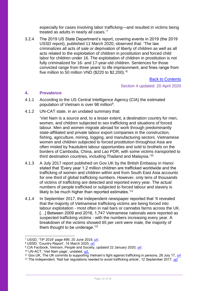especially for cases involving labor trafficking—and resulted in victims being treated as adults in nearly all cases.'<sup>7</sup>

3.2.4 The 2019 US State Department's report, covering events in 2019 (the 2019 USSD report), published 11 March 2020, observed that: 'The law criminalizes all acts of sale or deprivation of liberty of children as well as all acts related to the exploitation of children in prostitution and forced child labor for children under 16. The exploitation of children in prostitution is not fully criminalized for 16- and 17-year-old children. Sentences for those convicted range from three years' to life imprisonment, and fines range from five million to 50 million VND (\$220 to \$2,200).'<sup>8</sup>

# [Back to Contents](#page-2-0)

Section 4 updated: 20 April 2020

# <span id="page-13-0"></span>**4. Prevalence**

- 4.1.1 According to the US Central Intelligence Agency (CIA) the estimated population of Vietnam is over 98 million<sup>9</sup>.
- 4.1.2 UN-CAT state, in an undated summary that:

'Viet Nam is a source and, to a lesser extent, a destination country for men, women, and children subjected to sex trafficking and situations of forced labour. Men and women migrate abroad for work through predominantly state-affiliated and private labour export companies in the construction, fishing, agriculture, mining, logging, and manufacturing sectors. Vietnamese women and children subjected to forced prostitution throughout Asia are often misled by fraudulent labour opportunities and sold to brothels on the borders of Cambodia, China, and Lao PDR, with some victims transported to third destination countries, including Thailand and Malaysia.'10

- 4.1.3 A July 2017 report published on Gov.UK by the British Embassy in Hanoi stated that 'Every year 1.2 million children are trafficked worldwide and the trafficking of women and children within and from South East Asia accounts for one third of global trafficking numbers. However, only tens of thousands of victims of trafficking are detected and reported every year. The actual numbers of people trafficked or subjected to forced labour and slavery is likely to be much higher than reported estimates.<sup>'11</sup>
- 4.1.4 In September 2017, the Independent newspaper reported that 'It revealed that the majority of Vietnamese trafficking victims are being forced into labour exploitation - most often in nail bars or cannabis farms across the UK. [...] Between 2009 and 2016, 1,747 Vietnamese nationals were reported as suspected trafficking victims - with the numbers increasing every year. A breakdown of the victims showed 65 per cent were male, the majority of them thought to be underage.'<sup>12</sup>

<sup>7</sup> USSD, 'TiP 2019' page 499, 20 June 2019, [url.](https://www.state.gov/wp-content/uploads/2019/06/2019-TIP-Report-Narratives-T-ZSpecial-Case.pdf)

<sup>8</sup> USSD, 'Country Report', 16 March 2020, [url.](https://www.state.gov/reports/2019-country-reports-on-human-rights-practices/vietnam/)

<sup>&</sup>lt;sup>9</sup> CIA Factbook, Vietnam, People and Society, updated 22 January 2020, [url.](https://www.cia.gov/library/publications/the-world-factbook/geos/vm.html)

<sup>10</sup> UN-ACT, 'Viet Nam page', undated, [url.](http://un-act.org/vietnam/)

<sup>&</sup>lt;sup>11</sup> Gov.UK, The UK commits to supporting Vietnam's fight against trafficking in persons, 28 July 17, [url](https://www.gov.uk/government/news/the-uk-commits-to-supporting-vietnams-fight-against-trafficking-in-persons)

<sup>&</sup>lt;sup>12</sup> The Independent, 'Nail bar regulations needed to avoid trafficking article', 12 September 2017, [url.](https://www.independent.co.uk/news/uk/vietnam-nail-bar-workers-uk-modern-slavery-labour-exploitation-regulation-kevin-hyland-a7943011.html)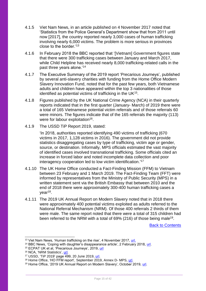- 4.1.5 Viet Nam News, in an article published on 4 November 2017 noted that 'Statistics from the Police General's Department show that from 2011 until now [2017], the country reported nearly 3,000 cases of human trafficking involving nearly 6,000 victims. The problem is more serious in provinces close to the border.'<sup>13</sup>
- 4.1.6 In February 2018 the BBC reported that '[Vietnam] Government figures state that there were 300 trafficking cases between January and March 2017, while Child Helpline has received nearly 8,000 trafficking-related calls in the past three years alone.'<sup>14</sup>
- 4.1.7 The Executive Summary of the 2019 report 'Precarious Journeys', published by several anti-slavery charities with funding from the Home Office Modern Slavery Innovation Fund, noted that for the past few years, both Vietnamese adults and children have appeared within the top 3 nationalities of those identified as potential victims of trafficking in the UK<sup>15</sup>.
- 4.1.8 Figures published by the UK National Crime Agency (NCA) in their quarterly reports indicated that in the first quarter (January- March) of 2019 there were a total of 165 Vietnamese potential victim referrals and of those referrals 60 were minors. The figures indicate that of the 165 referrals the majority (113) were for labour exploitation<sup>16</sup>.
- 4.1.9 The USSD TiP Report 2019, stated:

'In 2018, authorities reported identifying 490 victims of trafficking (670 victims in 2017, 1,128 victims in 2016). The government did not provide statistics disaggregating cases by type of trafficking, victim age or gender, source, or destination. Informally, MPS officials estimated the vast majority of identified cases involved transnational trafficking. Some officials cited an increase in forced labor and noted incomplete data collection and poor interagency cooperation led to low victim identification.'<sup>17</sup>

- 4.1.10 The UK Home Office conducted a Fact-Finding Mission (FFM) to Vietnam between 23 February and 1 March 2019. The Fact-Finding Team (FFT) were informed by representatives from the Ministry of Public Security (MPS) in a written statement sent via the British Embassy that between 2010 and the end of 2018 there were approximately 300-400 human trafficking cases a year<sup>18</sup>.
- 4.1.11 The 2019 UK Annual Report on Modern Slavery noted that in 2018 there were approximately 400 potential victims exploited as adults referred to the National Referral Mechanism (NRM). Of those 400 referrals 2 thirds of them were male. The same report noted that there were a total of 315 children had been referred to the NRM with a total of 69% (216) of those being male<sup>19</sup>.

[Back to Contents](#page-2-0)

<sup>&</sup>lt;sup>13</sup> Viet Nam News, 'Human trafficking on the rise', 4 November 2017, [url.](http://vietnamnews.vn/society/416847/human-trafficking-on-the-rise-in-viet-nam.html#5gb0RWTHzTQZAGXm.97)

<sup>&</sup>lt;sup>14</sup> BBC News, 'Coping with daughter's disappearance article', 2 February 2018, [url.](http://www.bbc.co.uk/news/in-pictures-42619927)

<sup>15</sup> ECPAT UK et al, 'Precarious Journeys', 2019, [url](https://www.ecpat.org.uk/Handlers/Download.ashx?IDMF=00b7f321-ddce-4f16-b064-d65dc5c3e268)

<sup>16</sup> NCA, 'NRM Statistics', [url.](https://nationalcrimeagency.gov.uk/who-we-are/publications/291-modern-slavery-and-human-trafficking-national-referral-mechanism-statistics-january-to-march-2019/file)

<sup>17</sup> USSD, 'TiP 2019' page 499, 20 June 2019, [url.](https://www.state.gov/wp-content/uploads/2019/06/2019-TIP-Report-Narratives-T-ZSpecial-Case.pdf)

<sup>18</sup> Home Office, 'HO FFM report', September 2019, Annex D- MPS, [url.](https://www.gov.uk/government/publications/vietnam-country-policy-and-information-notes)

<sup>19</sup> Home Office, '2019 UK Annual Report on Modern Slavery', October 2019, [url.](https://www.gov.uk/government/publications/2019-uk-annual-report-on-modern-slavery)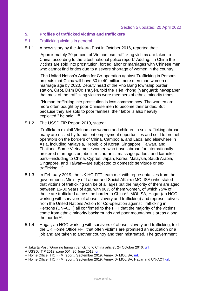## <span id="page-15-0"></span>**5. Profiles of trafficked victims and traffickers**

#### <span id="page-15-1"></span>5.1 Trafficking victims in general

5.1.1 A news story by the Jakarta Post in October 2016, reported that:

'Approximately 70 percent of Vietnamese trafficking victims are taken to China, according to the latest national police report.' Adding: 'In China the victims are sold into prostitution, forced labor or marriages with Chinese men who cannot find brides due to a severe shortage of women in the country.

'The United Nation's Action for Co-operation against Trafficking in Persons projects that China will have 30 to 40 million more men than women of marriage age by 2020. Deputy head of the Phó Bảng township border station, Capt. Đàm Đức Thuyên, told the Tiền Phong (Vanguard) newspaper that most of the trafficking victims were members of ethnic minority tribes.

'"Human trafficking into prostitution is less common now. The women are more often bought by poor Chinese men to become their brides. But because they are sold to poor families, their labor is also heavily exploited," he said.' <sup>20</sup>

5.1.2 The USSD TiP Report 2019, stated:

'Traffickers exploit Vietnamese women and children in sex trafficking abroad; many are misled by fraudulent employment opportunities and sold to brothel operators on the borders of China, Cambodia, and Laos, and elsewhere in Asia, including Malaysia, Republic of Korea, Singapore, Taiwan, and Thailand. Some Vietnamese women who travel abroad for internationally brokered marriages or jobs in restaurants, massage parlors, and karaoke bars—including to China, Cyprus, Japan, Korea, Malaysia, Saudi Arabia, Singapore, and Taiwan—are subjected to domestic servitude or sex trafficking.' <sup>21</sup>

- 5.1.3 In February 2019, the UK HO FFT team met with representatives from the government's Ministry of Labour and Social Affairs (MOLISA) who stated that victims of trafficking can be of all ages but the majority of them are aged between 15-30 years of age, with 90% of them women, of which 75% of those are trafficked across the border to China<sup>22</sup>. MOLISA, Hagar (an NGO working with survivors of abuse, slavery and trafficking) and representatives from the United Nations Action for Co-operation against Trafficking in Persons (UN-ACT) all confirmed to the FFT that the majority of the victims come from ethnic minority backgrounds and poor mountainous areas along the border<sup>23</sup>.
- 5.1.4 Hagar, an NGO working with survivors of abuse, slavery and trafficking, told the UK Home Office FFT that often victims are promised an education or a job and are taken to another country and then mistreated. The government

 $\overline{a}$ 

<sup>&</sup>lt;sup>20</sup> Jakarta Post, 'Growing human trafficking to China article', 24 October 2016, [url.](http://www.thejakartapost.com/seasia/2016/10/24/vietnam-faces-growing-human-trafficking-to-china.html)

<sup>21</sup> USSD, 'TiP 2019' page 501, 20 June 2019, [url.](https://www.state.gov/wp-content/uploads/2019/06/2019-TIP-Report-Narratives-T-ZSpecial-Case.pdf)

<sup>22</sup> Home Office, 'HO FFM report', September 2019, Annex D- MOLISA, [url.](https://www.gov.uk/government/publications/vietnam-country-policy-and-information-notes)

<sup>&</sup>lt;sup>23</sup> Home Office, 'HO FFM report', September 2019, Annex D- MOLISA, Hagar and UN-ACT [url.](https://www.gov.uk/government/publications/vietnam-country-policy-and-information-notes)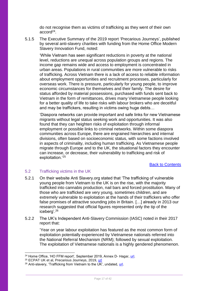do not recognise them as victims of trafficking as they went of their own accord<sup>24</sup>.

5.1.5 The Executive Summary of the 2019 report 'Precarious Journeys', published by several anti-slavery charities with funding from the Home Office Modern Slavery Innovation Fund, noted:

'While Vietnam has seen significant reductions in poverty at the national level, reductions are unequal across population groups and regions. The income gap remains wide and access to employment is concentrated in urban areas. Populations in rural communities are more vulnerable to risks of trafficking. Across Vietnam there is a lack of access to reliable information about employment opportunities and recruitment processes, particularly for overseas work. There is pressure, particularly for young people, to improve economic circumstances for themselves and their family. The desire for status afforded by material possessions, purchased with funds sent back to Vietnam in the form of remittances, drives many Vietnamese people looking for a better quality of life to take risks with labour brokers who are deceitful and may be traffickers, resulting in victims owing huge debts…

'Diaspora networks can provide important and safe links for new Vietnamese migrants without legal status seeking work and opportunities. It was also found that they can heighten risks of exploitation through informal employment or possible links to criminal networks. Within some diaspora communities across Europe, there are engrained hierarchies and internal divisions, often based on socioeconomic status, with some factions involved in aspects of criminality, including human trafficking. As Vietnamese people migrate through Europe and to the UK, the situational factors they encounter can increase, or decrease, their vulnerability to trafficking and risk of exploitation.'<sup>25</sup>

[Back to Contents](#page-2-0)

# <span id="page-16-0"></span>5.2 Trafficking victims in the UK

- 5.2.1 On their website Anti Slavery.org stated that 'The trafficking of vulnerable young people from Vietnam to the UK is on the rise, with the majority trafficked into cannabis production, nail bars and forced prostitution. Many of those who are trafficked are very young, sometimes children, and are extremely vulnerable to exploitation at the hands of their traffickers who offer false promises of attractive sounding jobs in Britain. […] already in 2013 our research suggested that official figures represented only the tip of the iceberg'.<sup>26</sup>
- 5.2.2 The UK's Independent Anti-Slavery Commission (IASC) noted in their 2017 report that:

'Year on year labour exploitation has featured as the most common form of exploitation potentially experienced by Vietnamese nationals referred into the National Referral Mechanism (NRM); followed by sexual exploitation. The exploitation of Vietnamese nationals is a highly gendered phenomenon.

<sup>&</sup>lt;sup>24</sup> Home Office, 'HO FFM report', September 2019, Annex D- Hagar, [url.](https://www.gov.uk/government/publications/vietnam-country-policy-and-information-notes)

<sup>&</sup>lt;sup>25</sup> ECPAT UK et al, Precarious Journeys, 2019, [url](https://www.ecpat.org.uk/Handlers/Download.ashx?IDMF=00b7f321-ddce-4f16-b064-d65dc5c3e268)

 $26$  Anti-slavery, 'Trafficking from Vietnam to the UK', undated, [url.](https://www.antislavery.org/what-we-do/uk/trafficking-vietnam-to-uk/)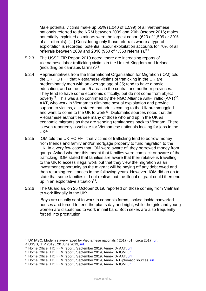Male potential victims make up 65% (1,040 of 1,599) of all Vietnamese nationals referred to the NRM between 2009 and 20th October 2016; males potentially exploited as minors were the largest cohort (620 of 1,599 or 39% of all referrals). […] Considering only those referrals where a type of exploitation is recorded, potential labour exploitation accounts for 70% of all referrals between 2009 and 2016 (950 of 1,353 referrals).'<sup>27</sup>

- 5.2.3 The USSD TiP Report 2019 noted 'there are increasing reports of Vietnamese labor trafficking victims in the United Kingdom and Ireland (including on cannabis farms)'.<sup>28</sup>
- 5.2.4 Representatives from the International Organization for Migration (IOM) told the UK HO FFT that Vietnamese victims of trafficking in the UK are predominantly men with an average age of 35; tend to have a basic education; and come from 5 areas in the central and northern provinces. They tend to have some economic difficulty, but do not come from abject poverty<sup>29</sup>. This was also confirmed by the NGO Alliance Anti-Traffic (AAT) $30$ . AAT, who work in Vietnam to eliminate sexual exploitation and provide support to victims, also stated that adults coming to the UK are smuggled and want to come to the UK to work<sup>31</sup>. Diplomatic sources noted that the Vietnamese authorities see many of those who end up in the UK as economic migrants as they are sending remittances back to Vietnam. There is even reportedly a website for Vietnamese nationals looking for jobs in the UK<sup>32</sup>.
- 5.2.5 IOM told the UK HO FFT that victims of trafficking tend to borrow money from friends and family and/or mortgage property to fund migration to the UK. In a very few cases that IOM were aware of, they borrowed money from gangs. Asked whether this meant that families were complicit or aware of the trafficking, IOM stated that families are aware that their relative is travelling to the UK to access illegal work but that they view the migration as an investment opportunity as the migrant will be paying off any debt owed and then returning remittances in the following years. However, IOM did go on to state that some families did not realise that the illegal migrant could then end up in an exploitative situation<sup>33</sup>.
- 5.2.6 The Guardian, on 25 October 2019, reported on those coming from Vietnam to work illegally in the UK:

'Boys are usually sent to work in cannabis farms, locked inside converted houses and forced to tend the plants day and night, while the girls and young women are dispatched to work in nail bars. Both sexes are also frequently forced into prostitution.

<sup>27</sup> UK IASC, Modern slavery faced by Vietnamese nationals ( 2017 (p1), circa 2017, [url.](http://www.antislaverycommissioner.co.uk/media/1159/iasc-report-combating-modern-slavery-experience-by-vietname-nationals-en-route-to-and-within-the-uk.pdf)

<sup>28</sup> USSD, 'TiP 2019', 20 June 2019, [url.](https://www.state.gov/wp-content/uploads/2019/06/2019-TIP-Report-Narratives-T-ZSpecial-Case.pdf)

<sup>&</sup>lt;sup>29</sup> Home Office, 'HO FFM report', September 2019, Annex D- AAT, [url.](https://www.gov.uk/government/publications/vietnam-country-policy-and-information-notes)

<sup>&</sup>lt;sup>30</sup> Home Office, 'HO FFM report', September 2019, Annex D- IOM, [url.](https://www.gov.uk/government/publications/vietnam-country-policy-and-information-notes)

<sup>&</sup>lt;sup>31</sup> Home Office, 'HO FFM report', September 2019, Annex D- AAT, [url.](https://www.gov.uk/government/publications/vietnam-country-policy-and-information-notes)

<sup>&</sup>lt;sup>32</sup> Home Office, 'HO FFM report', September 2019, Annex D- Diplomatic sources, [url.](https://www.gov.uk/government/publications/vietnam-country-policy-and-information-notes)

<sup>&</sup>lt;sup>33</sup> Home Office, 'HO FFM report', September 2019, Annex D- IOM, [url.](https://www.gov.uk/government/publications/vietnam-country-policy-and-information-notes)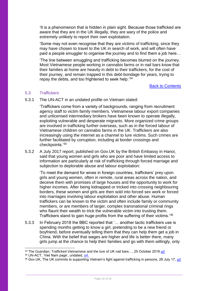'It is a phenomenon that is hidden in plain sight. Because those trafficked are aware that they are in the UK illegally, they are wary of the police and extremely unlikely to report their own exploitation.

'Some may not even recognise that they are victims of trafficking, since they may have chosen to travel to the UK in search of work, and will often have paid a people smuggler to organise the journey and to find them a job here…

'The line between smuggling and trafficking becomes blurred on the journey. Most Vietnamese people working in cannabis farms or in nail bars know that their families at home are heavily in debt to their traffickers, for the cost of their journey, and remain trapped in this debt-bondage for years, trying to repay the debts, and too frightened to seek help.'<sup>34</sup>

[Back to Contents](#page-2-0)

## <span id="page-18-0"></span>5.3 Traffickers

5.3.1 The UN-ACT in an undated profile on Vietnam stated:

'Traffickers come from a variety of backgrounds, ranging from recruitment agency staff to victim family members. Vietnamese labour export companies and unlicensed intermediary brokers have been known to operate illegally, exploiting vulnerable and desperate migrants. More organized crime groups are involved in trafficking further overseas, such as in the forced labour of Vietnamese children on cannabis farms in the UK. Traffickers are also increasingly using the internet as a channel to lure victims. Such crimes are further facilitated by corruption, including at border crossings and checkpoints.'<sup>35</sup>

5.3.2 A July 2017 report, published on Gov.UK by the British Embassy in Hanoi, said that young women and girls who are poor and have limited access to information are particularly at risk of trafficking through forced marriage and subjection to deplorable abuse and labour exploitation:

'To meet the demand for wives in foreign countries, traffickers' prey upon girls and young women, often in remote, rural areas across the nation, and deceive them with promises of large houses and the opportunity to work for higher incomes. After being kidnapped or tricked into crossing neighbouring borders, these women and girls are then sold into forced sex work or forced into marriages involving labour exploitation and other abuse. Human traffickers can be known to the victim and often include family or community members, or are members of larger, complex transnational criminal rings who flaunt their wealth to trick the vulnerable victim into trusting them. Traffickers stand to gain huge profits from the suffering of their victims.'<sup>36</sup>

5.3.3 In February 2018 the BBC reported that '… another tactic traffickers use is spending months getting to know a girl, pretending to be a new friend or boyfriend, before eventually telling them that they can help them get a job in China. With the belief that wages are higher and life is better there, many girls jump at the chance to help their families and go with them willingly, only

<sup>&</sup>lt;sup>34</sup> The Guardian, Trafficked Vietnamese and the lure of UK nail bars…, 25 October 2019 <u>url</u>

<sup>35</sup> UN-ACT, 'Viet Nam page', undated, [url.](http://un-act.org/vietnam/)

<sup>36</sup> Gov. UK, The UK commits to supporting Vietnam's fight against trafficking in persons, 28 July 17, [url](https://www.gov.uk/government/news/the-uk-commits-to-supporting-vietnams-fight-against-trafficking-in-persons)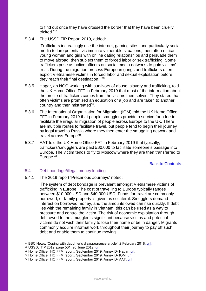to find out once they have crossed the border that they have been cruelly tricked.'<sup>37</sup>

5.3.4 The USSD TiP Report 2019, added:

'Traffickers increasingly use the internet, gaming sites, and particularly social media to lure potential victims into vulnerable situations; men often entice young women and girls with online dating relationships and persuade them to move abroad, then subject them to forced labor or sex trafficking. Some traffickers pose as police officers on social media networks to gain victims' trust. During the migration process European gangs and traffickers often exploit Vietnamese victims in forced labor and sexual exploitation before they reach their final destination.' <sup>38</sup>

- 5.3.5 Hagar, an NGO working with survivors of abuse, slavery and trafficking, told the UK Home Office FFT in February 2019 that most of the information about the profile of traffickers comes from the victims themselves. They stated that often victims are promised an education or a job and are taken to another country and then mistreated<sup>39</sup>.
- 5.3.6 The International Organization for Migration (IOM) told the UK Home Office FFT in February 2019 that people smugglers provide a service for a fee to facilitate the irregular migration of people across Europe to the UK. There are multiple routes to facilitate travel, but people tend to begin their journey by legal travel to Russia where they then enter the smuggling network and travel across Europe<sup>40</sup>.
- 5.3.7 AAT told the UK Home Office FFT in February 2019 that typically, traffickers/smugglers are paid £30,000 to facilitate someone's passage into Europe. The victim tends to fly to Moscow where they are then transferred to Europe. 41

[Back to Contents](#page-2-0)

## <span id="page-19-0"></span>5.4 Debt bondage/illegal money lending

5.4.1 The 2019 report 'Precarious Journeys' noted:

'The system of debt bondage is prevalent amongst Vietnamese victims of trafficking in Europe. The cost of travelling to Europe typically ranges between \$10,000 USD and \$40,000 USD. Funds for travel are commonly borrowed, or family property is given as collateral. Smugglers demand interest on borrowed money, and the amounts owed can rise quickly. If debt lies with the remaining family in Vietnam, this can be used as a way to pressure and control the victim. The risk of economic exploitation through debt owed to the smuggler is significant because victims and potential victims do not wish their family to lose their home or be in danger. Migrants commonly acquire informal work throughout their journey to pay off such debt and enable them to continue moving.

<sup>&</sup>lt;sup>37</sup> BBC News, 'Coping with daughter's disappearance article', 2 February 2018, [url.](http://www.bbc.co.uk/news/in-pictures-42619927)

<sup>38</sup> USSD, 'TiP 2019' page 501, 20 June 2019, [url.](https://www.state.gov/wp-content/uploads/2019/06/2019-TIP-Report-Narratives-T-ZSpecial-Case.pdf)

<sup>39</sup> Home Office, 'HO FFM report', September 2019, Annex D- Hagar, [url.](https://www.gov.uk/government/publications/vietnam-country-policy-and-information-notes)

<sup>40</sup> Home Office, 'HO FFM report', September 2019, Annex D- IOM, [url.](https://www.gov.uk/government/publications/vietnam-country-policy-and-information-notes)

<sup>&</sup>lt;sup>41</sup> Home Office, 'HO FFM report', September 2019, Annex D- AAT, [url.](https://www.gov.uk/government/publications/vietnam-country-policy-and-information-notes)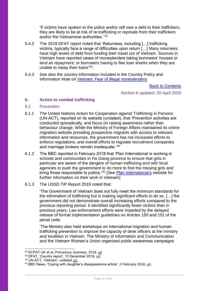'If victims have spoken to the police and/or still owe a debt to their traffickers, they are likely to be at risk of re-trafficking or reprisals from their traffickers and/or the Vietnamese authorities.' <sup>42</sup>

- 5.4.2 The 2019 DFAT report noted that 'Returnees, including […] trafficking victims, typically face a range of difficulties upon return […] Many returnees have high levels of debt from funding their travel out of Vietnam. Sources in Vietnam have reported cases of moneylenders taking borrowers' houses or land as repayment, or borrowers having to flee loan sharks when they are unable to repay their loans<sup>'43</sup>.
- 5.4.3 See also the country information included in the Country Policy and Information Note on [Vietnam: Fear of illegal moneylenders](https://www.gov.uk/government/publications/vietnam-country-policy-and-information-notes)

[Back to Contents](#page-2-0)

Section 6 updated: 20 April 2020

## <span id="page-20-0"></span>**6. Action to combat trafficking**

#### <span id="page-20-1"></span>6.1 Prevention

- 6.1.1 The United Nations Action for Cooperation against Trafficking in Persons (UN-ACT), reported on its website (undated), that 'Prevention activities are conducted sporadically, and focus on raising awareness rather than behaviour change. While the Ministry of Foreign Affairs maintained its online migration website providing prospective migrants with access to relevant information and resources, the government has not increased efforts to enforce regulations, and overall efforts to regulate recruitment companies and marriage brokers remain inadequate.'<sup>44</sup>
- 6.1.2 The BBC reported in February 2018 that 'Plan International is working in schools and communities in Ha Giang province to ensure that girls in particular are aware of the dangers of human trafficking and with local agencies to push the government to do more to find the missing girls and bring those responsible to justice.<sup>'45</sup> (See [Plan International's](https://plan-international.org/vietnam/child-protection-vietnam) website for further information on their work in Vietnam)
- 6.1.3 The USSD TiP Report 2019 noted that:

'The Government of Vietnam does not fully meet the minimum standards for the elimination of trafficking but is making significant efforts to do so. […] the government did not demonstrate overall increasing efforts compared to the previous reporting period. It identified significantly fewer victims than in previous years. Law enforcement efforts were impeded by the delayed release of formal implementation guidelines on Articles 150 and 151 of the penal code.

'The Ministry also held workshops on international migration and human trafficking prevention to improve the capacity of desk officers at the ministry and localities in Vietnam. The Ministry of Information and Communication and the Vietnam Women's Union organized public awareness campaigns

<sup>42</sup> ECPAT UK et al, Precarious Journeys, 2019, [url](https://www.ecpat.org.uk/Handlers/Download.ashx?IDMF=00b7f321-ddce-4f16-b064-d65dc5c3e268)

<sup>43</sup> DFAT, 'Country report', 13 December 2019, [url.](http://dfat.gov.au/about-us/publications/Documents/country-information-report-vietnam.pdf)

<sup>44</sup> UN-ACT, 'Vietnam', undated [url.](http://un-act.org/countries/vietnam/)

<sup>45</sup> BBC News, 'Coping with daughter's disappearance article', 2 February 2018, [url.](http://www.bbc.co.uk/news/in-pictures-42619927)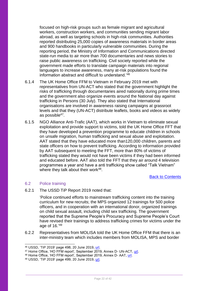focused on high-risk groups such as female migrant and agricultural workers, construction workers, and communities sending migrant labor abroad, as well as targeting schools in high-risk communities. Authorities reported distributing 25,000 copies of awareness materials in border areas and 900 handbooks in particularly vulnerable communities. During the reporting period, the Ministry of Information and Communications directed state-run media to air more than 700 documentaries and news stories to raise public awareness on trafficking. Civil society reported while the government made efforts to translate campaign materials into regional languages to increase awareness, many at-risk populations found the information abstract and difficult to understand.'<sup>46</sup>

- 6.1.4 The UK Home Office FFM to Vietnam in February 2019 met with representatives from UN-ACT who stated that the government highlight the risks of trafficking through documentaries aired nationally during prime times and the government also organize events around the National day against trafficking in Persons (30 July). They also stated that International organisations are involved in awareness raising campaigns at grassroot levels and that they (UN-ACT) distribute leaflets, books and videos as widely as possible<sup>47</sup>.
- 6.1.5 NGO Alliance Anti-Trafic (AAT), which works in Vietnam to eliminate sexual exploitation and provide support to victims, told the UK Home Office FFT that they have developed a prevention programme to educate children in schools on unsafe migration, human trafficking and sexual abuse and exploitation. AAT stated that they have educated more than120,000 children, parents and state officers on how to prevent trafficking. According to information provided by AAT subsequent to meeting the FFT, more than 80% of victims of trafficking stated they would not have been victims if they had been informed and educated before. AAT also told the FFT that they air around 4 television programmes a year and have a anti trafficking show called "Talk Vietnam" where they talk about their work<sup>48</sup>.

[Back to Contents](#page-2-0)

#### <span id="page-21-0"></span>6.2 Police training

 $\overline{a}$ 

6.2.1 The USSD TiP Report 2019 noted that:

'Police continued efforts to mainstream trafficking content into the training curriculum for new recruits; the MPS organized 12 trainings for 500 police officers, and in cooperation with an international donor, organized trainings on child sexual assault, including child sex trafficking. The government reported that the Supreme People's Procuracy and Supreme People's Court have revised their trainings to address trafficking crimes for victims under the age of 16.' 49

6.2.2 Representatives from MOLISA told the UK Home Office FFM that there is an inter-ministry team which includes members from MOLISA, MPS and border

<sup>46</sup> USSD, 'TiP 2019' page 498, 20 June 2019, [url.](https://www.state.gov/wp-content/uploads/2019/06/2019-TIP-Report-Narratives-T-ZSpecial-Case.pdf)

<sup>47</sup> Home Office, 'HO FFM report', September 2019, Annex D- UN-ACT, [url.](https://www.gov.uk/government/publications/vietnam-country-policy-and-information-notes)

<sup>48</sup> Home Office, 'HO FFM report', September 2019, Annex D- AAT, [url.](https://www.gov.uk/government/publications/vietnam-country-policy-and-information-notes)

<sup>49</sup> USSD, 'TiP 2019' page 499, 20 June 2019, [url.](https://www.state.gov/wp-content/uploads/2019/06/2019-TIP-Report-Narratives-T-ZSpecial-Case.pdf)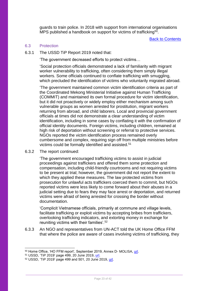guards to train police. In 2018 with support from international organisations MPS published a handbook on support for victims of trafficking<sup>50</sup>.

[Back to Contents](#page-2-0)

#### <span id="page-22-0"></span>6.3 Protection

6.3.1 The USSD TiP Report 2019 noted that:

'The government decreased efforts to protect victims…

'Social protection officials demonstrated a lack of familiarity with migrant worker vulnerability to trafficking, often considering them simply illegal workers. Some officials continued to conflate trafficking with smuggling, which precluded the identification of victims who voluntarily migrated abroad.

'The government maintained common victim identification criteria as part of the Coordinated Mekong Ministerial Initiative against Human Trafficking (COMMIT) and maintained its own formal procedure for victim identification, but it did not proactively or widely employ either mechanism among such vulnerable groups as women arrested for prostitution, migrant workers returning from abroad, and child laborers. Local and provincial government officials at times did not demonstrate a clear understanding of victim identification, including in some cases by conflating it with the confirmation of official identity documents. Foreign victims, including children, remained at high risk of deportation without screening or referral to protective services. NGOs reported the victim identification process remained overly cumbersome and complex, requiring sign off from multiple ministries before victims could be formally identified and assisted.<sup>51</sup>

6.3.2 The report continued:

'The government encouraged trafficking victims to assist in judicial proceedings against traffickers and offered them some protection and compensation, including child-friendly courtrooms and not requiring victims to be present at trial; however, the government did not report the extent to which they applied these measures. The law protected victims from prosecution for unlawful acts traffickers coerced them to commit, but NGOs reported victims were less likely to come forward about their abuses in a judicial setting due to fears they may face arrest or deportation, and returned victims were afraid of being arrested for crossing the border without documentation.

'Complicit Vietnamese officials, primarily at commune and village levels, facilitate trafficking or exploit victims by accepting bribes from traffickers, overlooking trafficking indicators, and extorting money in exchange for reuniting victims with their families'.<sup>52</sup>

6.3.3 An NGO and representatives from UN-ACT told the UK Home Office FFM that where the police are aware of cases involving victims of trafficking, they

<sup>&</sup>lt;sup>50</sup> Home Office, 'HO FFM report', September 2019, Annex D- MOLISA, <u>url</u>.

<sup>51</sup> USSD, 'TiP 2019' page 499, 20 June 2019, [url.](https://www.state.gov/wp-content/uploads/2019/06/2019-TIP-Report-Narratives-T-ZSpecial-Case.pdf)

<sup>52</sup> USSD, 'TiP 2019' page 499 and 501, 20 June 2019, [url.](https://www.state.gov/wp-content/uploads/2019/06/2019-TIP-Report-Narratives-T-ZSpecial-Case.pdf)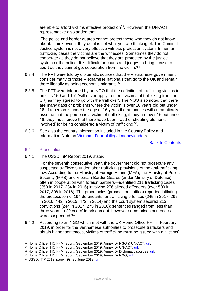are able to afford victims effective protection<sup>53</sup>. However, the UN-ACT representative also added that:

'The police and border guards cannot protect those who they do not know about. I think even if they do, it is not what you are thinking of. The Criminal Justice system is not a very effective witness protection system. In human trafficking cases the victims are the witnesses. Sometimes they do not cooperate as they do not believe that they are protected by the justice system or the police. It is difficult for courts and judges to bring a case to court as they cannot get cooperation from the victim.'<sup>54</sup>

- 6.3.4 The FFT were told by diplomatic sources that the Vietnamese government consider many of those Vietnamese nationals that go to the UK and remain there illegally as being economic migrants<sup>55</sup>.
- 6.3.5 The FFT were informed by an NGO that the definition of trafficking victims in articles 150 and 151 'will never apply to them [victims of trafficking from the UK] as they agreed to go with the trafficker'. The NGO also noted that there are many gaps or problems where the victim is over 16 years old but under 18. If a person is under the age of 16 years the authorities will automatically assume that the person is a victim of trafficking, if they are over 16 but under 18, they must 'prove that there have been fraud or cheating elements involved' for being considered a victim of trafficking <sup>56</sup>.
- 6.3.6 See also the country information included in the Country Policy and Information Note on [Vietnam: Fear of illegal moneylenders](https://www.gov.uk/government/publications/vietnam-country-policy-and-information-notes)

[Back to Contents](#page-2-0)

#### <span id="page-23-0"></span>6.4 Prosecution

-

6.4.1 The USSD TiP Report 2019, stated:

'For the seventh consecutive year, the government did not prosecute any suspected traffickers under labor trafficking provisions of the anti-trafficking law. According to the Ministry of Foreign Affairs (MFA), the Ministry of Public Security (MPS) and Vietnam Border Guards (under Ministry of Defense) often in cooperation with foreign partners—identified 211 trafficking cases (350 in 2017, 234 in 2016) involving 276 alleged offenders (over 500 in 2017, 308 in 2016). The procuracies (prosecutor's office) reported initiating the prosecution of 194 defendants for trafficking offenses (245 in 2017, 295 in 2016, 442 in 2015, 472 in 2014) and the court system secured 213 convictions (244 in 2017, 275 in 2016); sentences ranged from less than three years to 20 years' imprisonment, however some prison sentences were suspended.'<sup>57</sup>

6.4.2 According to an NGO which met with the UK Home Office FFT in February 2019, in order for the Vietnamese authorities to prosecute traffickers and obtain higher sentences, victims of trafficking must be issued with a 'victims'

<sup>53</sup> Home Office, 'HO FFM report', September 2019, Annex D- NGO & UN-ACT, [url.](https://www.gov.uk/government/publications/vietnam-country-policy-and-information-notes)

<sup>54</sup> Home Office, 'HO FFM report', September 2019, Annex D- UN-ACT, [url.](https://www.gov.uk/government/publications/vietnam-country-policy-and-information-notes)

<sup>55</sup> Home Office, 'HO FFM report', September 2019, Annex D- Diplomatic sources, [url.](https://www.gov.uk/government/publications/vietnam-country-policy-and-information-notes)

<sup>56</sup> Home Office, 'HO FFM report', September 2019, Annex D- NGO, [url.](https://www.gov.uk/government/publications/vietnam-country-policy-and-information-notes)

<sup>57</sup> USSD, 'TiP 2019' page 499, 20 June 2019, [url.](https://www.state.gov/wp-content/uploads/2019/06/2019-TIP-Report-Narratives-T-ZSpecial-Case.pdf)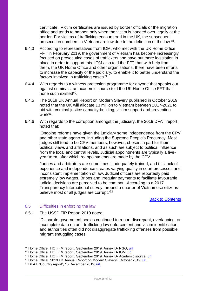certificate'. Victim certificates are issued by border officials or the migration office and tends to happen only when the victim is handed over legally at the border. For victims of trafficking encountered in the UK, the subsequent prosecution numbers in Vietnam are low due to the definition of the law <sup>58</sup>.

- 6.4.3 According to representatives from IOM, who met with the UK Home Office FFT in February 2019, the government of Vietnam has become increasingly focused on prosecuting cases of traffickers and have put more legislation in place in order to support this. IOM also told the FFT that with help from them, the UK Home Office and other organisations, there have been efforts to increase the capacity of the judiciary, to enable it to better understand the factors involved in trafficking cases<sup>59</sup>.
- 6.4.4 With regards to a witness protection programme for anyone that speaks out against criminals, an academic source told the UK Home Office FFT that none such existed<sup>60</sup>.
- 6.4.5 The 2019 UK Annual Report on Modern Slavery published in October 2019 noted that the UK will allocate £3 million to Vietnam between 2017-2021 to aid with criminal justice capacity-building, victim support and prevention work<sup>61</sup>.
- 6.4.6 With regards to the corruption amongst the judiciary, the 2019 DFAT report noted that:

'Ongoing reforms have given the judiciary some independence from the CPV and other state agencies, including the Supreme People's Procuracy. Most judges still tend to be CPV members, however, chosen in part for their political views and affiliations, and as such are subject to political influence from the local and central levels. Judicial appointments are typically a fiveyear term, after which reappointments are made by the CPV.

Judges and arbitrators are sometimes inadequately trained, and this lack of experience and independence creates varying quality in court processes and inconsistent implementation of law. Judicial officers are reportedly paid extremely low wages. Bribes and irregular payments to facilitate favourable judicial decisions are perceived to be common. According to a 2017 Transparency International survey, around a quarter of Vietnamese citizens believe most or all judges are corrupt.<sup>'62</sup>

[Back to Contents](#page-2-0)

#### <span id="page-24-0"></span>6.5 Difficulties in enforcing the law

6.5.1 The USSD TiP Report 2019 noted:

'Disparate government bodies continued to report discrepant, overlapping, or incomplete data on anti-trafficking law enforcement and victim identification, and authorities often did not disaggregate trafficking offenses from possible migrant smuggling cases.

 $\overline{a}$ 

<sup>58</sup> Home Office, 'HO FFM report', September 2019, Annex D- NGO, [url.](https://www.gov.uk/government/publications/vietnam-country-policy-and-information-notes)

<sup>&</sup>lt;sup>59</sup> Home Office, 'HO FFM report', September 2019, Annex D- IOM, <u>url</u>.

<sup>&</sup>lt;sup>60</sup> Home Office, 'HO FFM report', September 2019, Annex D- Academic source, [url.](https://www.gov.uk/government/publications/vietnam-country-policy-and-information-notes)

<sup>&</sup>lt;sup>61</sup> Home Office, '2019 UK Annual Report on Modern Slavery', October 2019, [url.](https://www.gov.uk/government/publications/2019-uk-annual-report-on-modern-slavery)

<sup>62</sup> DFAT, 'Country report', 13 December 2019, [url.](http://dfat.gov.au/about-us/publications/Documents/country-information-report-vietnam.pdf)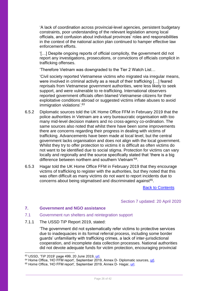'A lack of coordination across provincial-level agencies, persistent budgetary constraints, poor understanding of the relevant legislation among local officials, and confusion about individual provinces' roles and responsibilities in the context of the national action plan continued to hamper effective law enforcement efforts.

'[…] Despite ongoing reports of official complicity, the government did not report any investigations, prosecutions, or convictions of officials complicit in trafficking offenses.

'Therefore Vietnam was downgraded to the Tier 2 Watch List…

'Civil society reported Vietnamese victims who migrated via irregular means, were involved in criminal activity as a result of their trafficking […] feared reprisals from Vietnamese government authorities, were less likely to seek support, and were vulnerable to re-trafficking. International observers reported government officials often blamed Vietnamese citizens for their exploitative conditions abroad or suggested victims inflate abuses to avoid immigration violations'.<sup>63</sup>

- 6.5.2 Diplomatic sources told the UK Home Office FFM in February 2019 that the police authorities in Vietnam are a very bureaucratic organisation with too many mid-level decision makers and no cross-agency co-ordination. The same sources also noted that whilst there have been some improvements there are concerns regarding their progress in dealing with victims of trafficking. Advancements have been made at local level, but the central government lacks organisation and does not align with the local government. Whilst they try to offer protection to victims it is difficult as often victims do not want to be identified due to social stigma. Protection for victims can vary locally and regionally and the source specifically stated that 'there is a big difference between northern and southern Vietnam'<sup>64</sup>.
- 6.5.3 Hagar told the UK Home Office FFM in February 2019 that they encourage victims of trafficking to register with the authorities, but they noted that this was often difficult as many victims do not want to report incidents due to concerns about being stigmatised and discriminated against<sup>65</sup>.

[Back to Contents](#page-2-0)

Section 7 updated: 20 April 2020

## <span id="page-25-0"></span>**7. Government and NGO assistance**

- <span id="page-25-1"></span>7.1 Government run shelters and reintegration support
- 7.1.1 The USSD TiP Report 2019, stated:

'The government did not systematically refer victims to protective services due to inadequacies in its formal referral process, including some border guards' unfamiliarity with trafficking crimes, a lack of inter-jurisdictional cooperation, and incomplete data collection processes. National authorities did not devote adequate funds for victim protection, encouraging provincial

<sup>63</sup> USSD, 'TiP 2019' page 499, 20 June 2019, [url.](https://www.state.gov/wp-content/uploads/2019/06/2019-TIP-Report-Narratives-T-ZSpecial-Case.pdf)

 $64$  Home Office, 'HO FFM report', September 2019, Annex D- Diplomatic sources, [url.](https://www.gov.uk/government/publications/vietnam-country-policy-and-information-notes)

<sup>&</sup>lt;sup>65</sup> Home Office, 'HO FFM report', September 2019, Annex D- Hagar, [url.](https://www.gov.uk/government/publications/vietnam-country-policy-and-information-notes)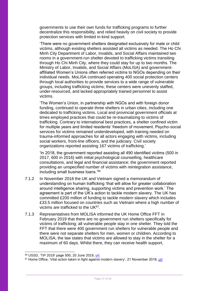governments to use their own funds for trafficking programs to further decentralize this responsibility, and relied heavily on civil society to provide protection services with limited in-kind support.

'There were no government shelters designated exclusively for male or child victims, although existing shelters assisted all victims as needed. The Ho Chi Minh City Department of Labor, Invalids, and Social Affairs maintained two rooms in a government-run shelter devoted to trafficking victims transiting through Ho Chi Minh City, where they could stay for up to two months. The Ministry of Labor, Invalids, and Social Affairs (MoLISA) and governmentaffiliated Women's Unions often referred victims to NGOs depending on their individual needs. MoLISA continued operating 400 social protection centers through local authorities to provide services to a wide range of vulnerable groups, including trafficking victims; these centers were unevenly staffed, under-resourced, and lacked appropriately trained personnel to assist victims.

'The Women's Union, in partnership with NGOs and with foreign donor funding, continued to operate three shelters in urban cities, including one dedicated to trafficking victims. Local and provincial government officials at times employed practices that could be re-traumatizing to victims of trafficking. Contrary to international best practices, a shelter confined victim for multiple years and limited residents' freedom of movement. Psycho-social services for victims remained underdeveloped, with training needed on trauma-informed approaches for all actors engaging with victims, including social workers, front-line officers, and the judiciary. Civil society organizations reported assisting 167 victims of trafficking.'

'In 2018, the government reported assisting all 490 identified victims (500 in 2017, 600 in 2016) with initial psychological counselling, healthcare consultations, and legal and financial assistance; the government reported providing an unspecified number of victims with reintegration assistance, including small business loans.'<sup>66</sup>

- 7.1.2 In November 2018 the UK and Vietnam signed a memorandum of understanding on human trafficking 'that will allow for greater collaboration around intelligence sharing, supporting victims and prevention work.' The agreement is part of the UK's action to tackle modern slavery. The UK has committed £200 million of funding to tackle modern slavery which includes £33.5 million focused on countries such as Vietnam where a high number of victims are trafficked to the UK<sup>67</sup>.
- 7.1.3 Representatives from MOLISA informed the UK Home Office FFT in February 2019 that there are no government run shelters specifically for victims of trafficking; all vulnerable people stay in one shelter. They told the FFT that there were 400 government run shelters for vulnerable people and there were not separate shelters for men, women or children. According to MOLISA, the law states that victims are allowed to stay in the shelter for a maximum of 60 days. Whilst there, they can receive health support,

<sup>66</sup> USSD, 'TiP 2019' page 500, 20 June 2019, [url.](https://www.state.gov/wp-content/uploads/2019/06/2019-TIP-Report-Narratives-T-ZSpecial-Case.pdf)

 $67$  Home Office, 'Vital action taken in fight against modern slavery', 21 November 2018, [url.](https://www.gov.uk/government/news/vital-action-taken-in-fight-against-modern-slavery)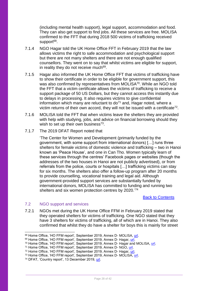(including mental health support), legal support, accommodation and food. They can also get support to find jobs. All these services are free. MOLISA confirmed to the FFT that during 2018 500 victims of trafficking received support<sup>68</sup>.

- 7.1.4 NGO Hagar told the UK Home Office FFT in February 2019 that the law allows victims the right to safe accommodation and psychological support but there are not many shelters and there are not enough qualified counsellors. They went on to say that whilst victims are eligible for support, in reality they do not receive much<sup>69</sup>.
- 7.1.5 Hagar also informed the UK Home Office FFT that victims of trafficking have to show their certificate in order to be eligible for government support, this was also confirmed by representatives from MOLISA<sup>70</sup>. While an NGO told the FFT that a victim certificate allows the victims of trafficking to receive a support package of 50 US Dollars, but they cannot access this instantly due to delays in processing. It also requires victims to give confidential information which many are reluctant to  $d_0$ <sup>71</sup> and, Hagar noted, where a victim returns of their own accord, they will not be issued with a certificate<sup>72</sup>.
- 7.1.6 MOLISA told the FFT that when victims leave the shelters they are provided with help with studying, jobs, and advice on financial borrowing should they wish to set up their own business<sup>73</sup>.
- 7.1.7 The 2019 DFAT Report noted that

'The Center for Women and Development (primarily funded by the government, with some support from international donors) […] runs three shelters for female victims of domestic violence and trafficking – two in Hanoi known as 'Peace House', and one in Can Tho. Women typically learn of these services through the centres' Facebook pages or websites (though the addresses of the two houses in Hanoi are not publicly advertised), or from referrals from the police, courts or hospitals […] trafficking victims can stay for six months. The shelters also offer a follow-up program after 20 months to provide counselling, vocational training and legal aid. Although government-provided support services are substantially funded by international donors, MOLISA has committed to funding and running two shelters and six women protection centres by 2020.' 74

#### [Back to Contents](#page-2-0)

#### <span id="page-27-0"></span>7.2 NGO support and services

-

7.2.1 NGOs met during the UK Home Office FFM in February 2019 stated that they operated shelters for victims of trafficking. One NGO stated that they have 3 shelters for victims of trafficking, all of which are in Hanoi. They also confirmed that whilst they do have a shelter for boys this is mainly for street

<sup>68</sup> Home Office, 'HO FFM report', September 2019, Annex D- MOLISA, [url.](https://www.gov.uk/government/publications/vietnam-country-policy-and-information-notes)

<sup>69</sup> Home Office, 'HO FFM report', September 2019, Annex D- Hagar, [url.](https://www.gov.uk/government/publications/vietnam-country-policy-and-information-notes)

<sup>70</sup> Home Office, 'HO FFM report', September 2019, Annex D- Hagar and MOLISA, [url.](https://www.gov.uk/government/publications/vietnam-country-policy-and-information-notes)

<sup>71</sup> Home Office, 'HO FFM report', September 2019, Annex D- NGO, [url.](https://www.gov.uk/government/publications/vietnam-country-policy-and-information-notes)

<sup>72</sup> Home Office, 'HO FFM report', September 2019, Annex D- Hagar, [url.](https://www.gov.uk/government/publications/vietnam-country-policy-and-information-notes)

<sup>73</sup> Home Office, 'HO FFM report', September 2019, Annex D- MOLISA, [url.](https://www.gov.uk/government/publications/vietnam-country-policy-and-information-notes)

<sup>74</sup> DFAT, 'Country report', 13 December 2019, [url.](http://dfat.gov.au/about-us/publications/Documents/country-information-report-vietnam.pdf)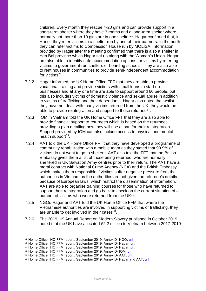children. Every month they rescue 4-20 girls and can provide support in a short-term shelter where they have 3 rooms and a long-term shelter where normally not more than 10 girls are in one shelter<sup>75</sup>. Hagar confirmed that, in Hanoi, they refer victims to a shelter run by one of their partners. In the north they can refer victims to Compassion House run by MOLISA. Information provided by Hagar after the meeting confirmed that there is also a shelter in Yen Bai province which Hagar set up along with the Women's Union. Hagar are also able to identify safe accommodation options for victims by referring victims to government-run shelters or boarding schools. They are also able to rent houses in communities to provide semi-independent accommodation for victims<sup>76</sup>.

- 7.2.2 Hagar informed the UK Home Office FFT that they are able to provide vocational training and provide victims with small loans to start up businesses and at any one time are able to support around 60 people, but this also includes victims of domestic violence and sexual abuse in addition to victims of trafficking and their dependants. Hagar also noted that whilst they have not dealt with many victims returned from the UK, they would be able to provide reintegration and support to those returned<sup>77</sup>.
- 7.2.3 IOM in Vietnam told the UK Home Office FFT that they are also able to provide financial support to returnees which is based on the returnees providing a plan detailing how they will use a loan for their reintegration. Support provided by IOM can also include access to physical and mental health support<sup>78</sup>.
- 7.2.4 AAT told the UK Home Office FFT that they have developed a programme of community rehabilitation with a mobile team as they stated that 99.9% of victims do not want to go to shelters. AAT also told the FFT that the British Embassy gives them a list of those being returned, who are normally sheltered in UK Salvation Army centres prior to their return. The AAT have a moral contract with National Crime Agency (NCA) and the British Embassy which makes them responsible if victims suffer negative pressure from the authorities in Vietnam as the authorities are not given the returnee's details because of European laws, which restrict the dissemination of information. AAT are able to organise training courses for those who have returned to support their reintegration and go back to check on the current situation of a number of victims who were returned from the UK79.
- 7.2.5 NGOs Hagar and AAT told the UK Home Office FFM that where the Vietnamese authorities are involved in supporting victims of trafficking, they are unable to get involved in their cases<sup>80</sup>.
- 7.2.6 The 2019 UK Annual Report on Modern Slavery published in October 2019 noted that the UK have allocated £2.2 million to Vietnam between 2017-2019

<sup>75</sup> Home Office, 'HO FFM report', September 2019, Annex D- NGO, [url.](https://www.gov.uk/government/publications/vietnam-country-policy-and-information-notes)

<sup>76</sup> Home Office, 'HO FFM report', September 2019, Annex D- Hagar, [url.](https://www.gov.uk/government/publications/vietnam-country-policy-and-information-notes)

<sup>77</sup> Home Office, 'HO FFM report', September 2019, Annex D- Hagar, [url.](https://www.gov.uk/government/publications/vietnam-country-policy-and-information-notes)

<sup>78</sup> Home Office, 'HO FFM report', September 2019, Annex D- IOM, [url.](https://www.gov.uk/government/publications/vietnam-country-policy-and-information-notes)

<sup>79</sup> Home Office, 'HO FFM report', September 2019, Annex D- AAT, [url.](https://www.gov.uk/government/publications/vietnam-country-policy-and-information-notes)

<sup>80</sup> Home Office, 'HO FFM report', September 2019, Annex D- Hagar and AAT, [url.](https://www.gov.uk/government/publications/vietnam-country-policy-and-information-notes)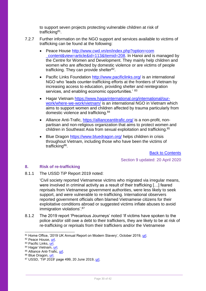to support seven projects protecting vulnerable children at risk of trafficking<sup>81</sup>.

- 7.2.7 Further information on the NGO support and services available to victims of trafficking can be found at the following:
	- Peace House [http://www.cwd.vn/en/index.php?option=com](http://www.cwd.vn/en/index.php?option=com‌_content&view=article&id=113&Itemid=208) content&view=article&id=113&Itemid=208. In Hanoi and is managed by the Centre for Women and Development. They mainly help children and women who are affected by domestic violence or are victims of people trafficking. They can provide shelter<sup>82</sup>.
	- Pacific Links Foundation<http://www.pacificlinks.org/> is an international NGO who 'leads counter-trafficking efforts at the frontiers of Vietnam by increasing access to education, providing shelter and reintegration services, and enabling economic opportunities.<sup>'83</sup>
	- Hagar Vietnam [https://www.hagarinternational.org/international/our](https://www.hagarinternational.org/international/our-work/where-we-work/vietnam/)[work/where-we-work/vietnam/](https://www.hagarinternational.org/international/our-work/where-we-work/vietnam/) is an international NGO in Vietnam which aims to support women and children affected by trauma particularly from domestic violence and trafficking.<sup>84</sup>
	- Alliance Anti-Trafic,<https://allianceantitrafic.org/> is a non-profit, nonpartisan and non-religious organization that aims to protect women and children in Southeast Asia from sexual exploitation and trafficking. 85
	- Blue Dragon <https://www.bluedragon.org/> helps children in crisis throughout Vietnam, including those who have been the victims of trafficking<sup>86</sup>.

 [Back to Contents](#page-2-0) Section 9 updated: 20 April 2020

# <span id="page-29-0"></span>**8. Risk of re-trafficking**

8.1.1 The USSD TiP Report 2019 noted:

'Civil society reported Vietnamese victims who migrated via irregular means, were involved in criminal activity as a result of their trafficking […] feared reprisals from Vietnamese government authorities, were less likely to seek support, and were vulnerable to re-trafficking. International observers reported government officials often blamed Vietnamese citizens for their exploitative conditions abroad or suggested victims inflate abuses to avoid immigration violations'.<sup>87</sup>

8.1.2 The 2019 report 'Precarious Journeys' noted 'If victims have spoken to the police and/or still owe a debt to their traffickers, they are likely to be at risk of re-trafficking or reprisals from their traffickers and/or the Vietnamese

- 85 Alliance Anti-Trafic, [url.](https://allianceantitrafic.org/)
- 86 Blue Dragon, [url.](https://www.bluedragon.org/)

<sup>81</sup> Home Office, '2019 UK Annual Report on Modern Slavery', October 2019, [url.](https://www.gov.uk/government/publications/2019-uk-annual-report-on-modern-slavery)

<sup>82</sup> Peace House, [url.](http://www.cwd.vn/en/index.php?option=com_content&view=article&id=113&Itemid=208)

<sup>83</sup> Pacific Links, [url.](http://www.pacificlinks.org/)

<sup>84</sup> Hagar Vietnam, [url.](https://hagarinternational.org/vietnam/)

 $87$  USSD, 'TiP 2019' page 499, 20 June 2019, [url.](https://www.state.gov/wp-content/uploads/2019/06/2019-TIP-Report-Narratives-T-ZSpecial-Case.pdf)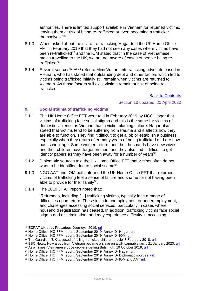authorities. There is limited support available in Vietnam for returned victims, leaving them at risk of being re-trafficked or even becoming a trafficker themselves.' <sup>88</sup>

- 8.1.3 When asked about the risk of re-trafficking Hagar told the UK Home Office FFT in February 2019 that they had not seen any cases where victims have been re-trafficked<sup>89</sup> and the IOM stated that 'in the case of Vietnamese males travelling to the UK, we are not aware of cases of people being retrafficked'<sup>90</sup>.
- 8.1.4 Several sources<sup>91 92 93</sup> refer to Mimi Vu, an anti-trafficking advocate based in Vietnam, who has stated that outstanding debt and other factors which led to victims being trafficked initially still remain when victims are returned to Vietnam. As those factors still exist victims remain at risk of being retrafficked.

[Back to Contents](#page-2-0)

Section 10 updated: 20 April 2020

#### <span id="page-30-0"></span>**9. Social stigma of trafficking victims**

- 9.1.1 The UK Home Office FFT were told in February 2019 by NGO Hagar that victims of trafficking face social stigma and this is the same for victims of domestic violence as Vietnam has a victim blaming culture. Hagar also stated that victims tend to be suffering from trauma and it affects how they are able to function. They find it difficult to get a job or establish a business especially when they return after many years of being trafficked and are now past school age. Some women return, and their husbands have new wives and their children have forgotten them and they also find it difficult to get identity papers as they have been away for a number of years<sup>94</sup>.
- 9.1.2 Diplomatic sources told the UK Home Office FFT that victims often do not want to be identified due to social stigma<sup>95</sup>.
- 9.1.3 NGO AAT and IOM both informed the UK Home Office FFT that returned victims of trafficking feel a sense of failure and shame for not having been able to provide for their family<sup>96</sup>.
- 9.1.4 The 2019 DFAT report noted that:

'Returnees, including […] trafficking victims, typically face a range of difficulties upon return. These include unemployment or underemployment, and challenges accessing social services, particularly in cases where household registration has ceased. In addition, trafficking victims face social stigma and discrimination, and may experience difficulty in accessing

- 93 Asia Times, Vietnamese dope growers getting Brits high, 19 October 2019, [url](https://www.asiatimes.com/2019/10/article/vietnamese-dope-farms-getting-brits-high/)
- 94 Home Office, 'HO FFM report', September 2019, Annex D- Hagar, [url.](https://www.gov.uk/government/publications/vietnam-country-policy-and-information-notes)

88 ECPAT UK et al, Precarious Journeys, 2019, [url](https://www.ecpat.org.uk/Handlers/Download.ashx?IDMF=00b7f321-ddce-4f16-b064-d65dc5c3e268)

<sup>89</sup> Home Office, 'HO FFM report', September 2019, Annex D- Hagar, [url.](https://www.gov.uk/government/publications/vietnam-country-policy-and-information-notes)

<sup>90</sup> Home Office, 'HO FFM report', September 2019, Annex D- IOM, [url.](https://www.gov.uk/government/publications/vietnam-country-policy-and-information-notes)

<sup>91</sup> The Guardian, 'UK accused of failing trafficked children article', 7 February 2018, [url.](https://www.theguardian.com/global-development/2018/feb/07/criminalised-detained-deported-uk-accused-of-failing-trafficked-children-vietnam-stephen)

<sup>92</sup> BBC News, How a boy from Vietnam became a slave on a UK cannabis farm*,* 21 January 2020, [url](https://www.bbc.co.uk/news/stories-51176958)

<sup>95</sup> Home Office, 'HO FFM report', September 2019, Annex D- Diplomatic sources, [url.](https://www.gov.uk/government/publications/vietnam-country-policy-and-information-notes)

<sup>96</sup> Home Office, 'HO FFM report', September 2019, Annex D- IOM and AAT [url.](https://www.gov.uk/government/publications/vietnam-country-policy-and-information-notes)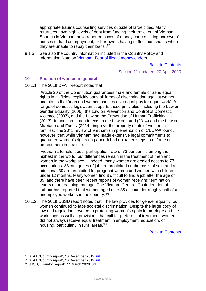appropriate trauma counselling services outside of large cities. Many returnees have high levels of debt from funding their travel out of Vietnam. Sources in Vietnam have reported cases of moneylenders taking borrowers' houses or land as repayment, or borrowers having to flee loan sharks when they are unable to repay their loans'.<sup>97</sup>

9.1.5 See also the country information included in the Country Policy and Information Note on [Vietnam: Fear of illegal moneylenders](https://www.gov.uk/government/publications/vietnam-country-policy-and-information-notes).

[Back to Contents](#page-2-0)

Section 11 updated: 20 April 2020

#### <span id="page-31-0"></span>**10. Position of women in general**

10.1.1 The 2019 DFAT Report notes that:

'Article 26 of the Constitution guarantees male and female citizens equal rights in all fields, explicitly bans all forms of discrimination against women, and states that 'men and women shall receive equal pay for equal work'. A range of domestic legislation supports these principles, including the Law on Gender Equality (2006), the Law on Prevention and Control of Domestic Violence (2007), and the Law on the Prevention of Human Trafficking (2017). In addition, amendments to the Law on Land (2014) and the Law on Marriage and Family (2014), improve the property rights of women in families. The 2015 review of Vietnam's implementation of CEDAW found, however, that while Vietnam had made extensive legal commitments to guarantee women's rights on paper, it had not taken steps to enforce or protect them in practice.

'Vietnam's female labour participation rate of 73 per cent is among the highest in the world, but differences remain in the treatment of men and women in the workplace… Indeed, many women are denied access to 77 occupations: 38 categories of job are prohibited on the basis of sex, and an additional 39 are prohibited for pregnant women and women with children under 12 months. Many women find it difficult to find a job after the age of 35, and there have been recent reports of women receiving termination letters upon reaching that age. The Vietnam General Confederation of Labour has reported that women aged over 35 account for roughly half of all unemployed workers in the country.<sup>'98</sup>

10.1.2 The 2019 USSD report noted that 'The law provides for gender equality, but women continued to face societal discrimination. Despite the large body of law and regulation devoted to protecting women's rights in marriage and the workplace as well as provisions that call for preferential treatment, women did not always receive equal treatment in employment, education, or housing, particularly in rural areas.'<sup>99</sup>

[Back to Contents](#page-2-0)

<sup>&</sup>lt;sup>97</sup> DFAT, 'Country report', 13 December 2019, <u>url</u>.

<sup>98</sup> DFAT, 'Country report', 13 December 2019, [url.](http://dfat.gov.au/about-us/publications/Documents/country-information-report-vietnam.pdf)

<sup>99</sup> USSD, 'Country Report', 11 March 2020, [url.](https://www.state.gov/reports/2019-country-reports-on-human-rights-practices/vietnam/)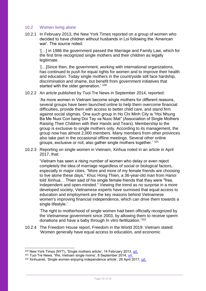#### <span id="page-32-0"></span>10.2 Women living alone

10.2.1 In February 2013, the New York Times reported on a group of women who decided to have children without husbands in Loi following the 'American war'. The source noted:

'[…] in 1986 the government passed the Marriage and Family Law, which for the first time recognized single mothers and their children as legally legitimate.

'[…]Since then, the government, working with international organizations, has continued to push for equal rights for women and to improve their health and education. Today single mothers in the countryside still face hardship, discrimination and shame, but benefit from government initiatives that started with the older generation.' 100

10.2.2 An article published by Tuoi Tre News in September 2014, reported:

'As more women in Vietnam become single mothers for different reasons, several groups have been launched online to help them overcome financial difficulties, provide them with access to better child care, and stand firm against social stigmas. One such group in Ho Chi Minh City is "Hoi Nhung Ba Me Nuoi Con bang Doi Tay va Nuoc Mat" (Association of Single Mothers Raising Their Children with their Hands and Tears). Membership to the group is exclusive to single mothers only. According to its management, the group now has almost 2,000 members. Many members from other provinces also take part in the occasional offline meetings. Several other online groups, exclusive or not, also gather single mothers together.' <sup>101</sup>

10.2.3 Reporting on single women in Vietnam, Xinhua noted in an article in April 2017, that:

'Vietnam has seen a rising number of women who delay or even reject completely the idea of marriage regardless of social or biological factors, especially in major cities. "More and more of my female friends are choosing to live alone these days," Khuc Hong Thien, a 36-year-old man from Hanoi told Xinhua… Thien said of his single female friends that they were "free, independent and open-minded." Viewing the trend as no surprise in a more developed society, Vietnamese experts have surmised that equal access to education and employment are the key reasons behind Vietnamese women's improving financial independence, which can drive them towards a single lifestyle.'

'The right to motherhood of single women had been officially recognized by the Vietnamese government since 2003, by allowing them to receive sperm donations and have a baby through In vitro fertilization.'<sup>102</sup>

10.2.4 The Freedom House report, Freedom in the World 2019: Vietnam stated: 'Women generally have equal access to education, and economic

<sup>&</sup>lt;sup>100</sup> New York Times (NYT), 'Single mothers article', 14 February 2013, [url.](http://www.nytimes.com/2013/02/15/world/asia/in-vietnam-some-chose-to-be-single-mothers.html?mcubz=1)

<sup>101</sup> Tuoi Tre News, 'We, Vietnam single moms', 8 September 2014, [url.](http://tuoitrenews.vn/features/22235/vietnam-single-mothers-stand-together-for-mental-strength-help)

<sup>102</sup> Xinhuanet, 'Single women enjoying independence article', 28 April 2017, [url.](http://news.xinhuanet.com/english/2017-04/28/c_136242414.htm)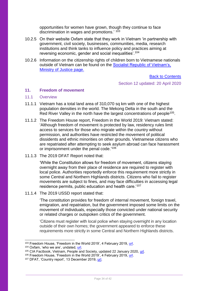opportunities for women have grown, though they continue to face discrimination in wages and promotions.'  $103$ 

- 10.2.5 On their website Oxfam state that they work in Vietnam 'in partnership with government, civil society, businesses, communities, media, research institutions and think tanks to influence policy and practices aiming at reversing economic, gender and social inequalities'.<sup>104</sup>
- 10.2.6 Information on the citizenship rights of children born to Vietnamese nationals outside of Vietnam can be found on the [Socialist Republic of Vietnam's,](http://moj.gov.vn/vbpq/en/lists/vn%20bn%20php%20lut/view_detail.aspx?itemid=10451)  [Ministry of Justice page.](http://moj.gov.vn/vbpq/en/lists/vn%20bn%20php%20lut/view_detail.aspx?itemid=10451)

[Back to Contents](#page-2-0) Section 12 updated: 20 April 2020

#### <span id="page-33-2"></span><span id="page-33-0"></span>**11. Freedom of movement**

#### <span id="page-33-1"></span>11.1 Overview

- 11.1.1 Vietnam has a total land area of 310,070 sq km with one of the highest population densities in the world. The Mekong Delta in the south and the Red River Valley in the north have the largest concentrations of people<sup>105</sup>.
- 11.1.2 The Freedom House report, Freedom in the World 2019: Vietnam stated: 'Although freedom of movement is protected by law, residency rules limit access to services for those who migrate within the country without permission, and authorities have restricted the movement of political dissidents and ethnic minorities on other grounds. Vietnamese citizens who are repatriated after attempting to seek asylum abroad can face harassment or imprisonment under the penal code.'<sup>106</sup>
- 11.1.3 The 2019 DFAT Report noted that:

'While the Constitution allows for freedom of movement, citizens staying overnight away from their place of residence are required to register with local police. Authorities reportedly enforce this requirement more strictly in some Central and Northern Highlands districts. Citizens who fail to register movements are subject to fines, and may face difficulties in accessing legal residence permits, public education and health care.'<sup>107</sup>

11.1.4 The 2019 USSD report stated that:

'The constitution provides for freedom of internal movement, foreign travel, emigration, and repatriation, but the government imposed some limits on the movement of individuals, especially those convicted under national security or related charges or outspoken critics of the government.

'Citizens must register with local police when staying overnight in any location outside of their own homes; the government appeared to enforce these requirements more strictly in some Central and Northern Highlands districts.

<sup>103</sup> Freedom House, 'Freedom in the World 2019', 4 February 2019, [url.](https://freedomhouse.org/report/freedom-world/2019/vietnam)

<sup>104</sup> Oxfam, 'who we are', undated, [url.](https://vietnam.oxfam.org/who-we-are)

<sup>&</sup>lt;sup>105</sup> CIA Factbook, Vietnam, People and Society, updated 22 January 2020, [url.](https://www.cia.gov/library/publications/the-world-factbook/geos/vm.html)

<sup>106</sup> Freedom House, 'Freedom in the World 2019', 4 February 2019, [url.](https://freedomhouse.org/report/freedom-world/2019/vietnam)

<sup>107</sup> DFAT, 'Country report', 13 December 2019, [url.](http://dfat.gov.au/about-us/publications/Documents/country-information-report-vietnam.pdf)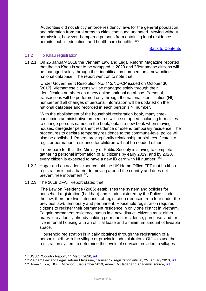'Authorities did not strictly enforce residency laws for the general population, and migration from rural areas to cities continued unabated. Moving without permission, however, hampered persons from obtaining legal residence permits, public education, and health-care benefits.'<sup>108</sup>

#### [Back to Contents](#page-2-0)

#### <span id="page-34-0"></span>11.2 Ho Khau registration

11.2.1 On 25 January 2018 the Vietnam Law and Legal Reform Magazine reported that the Ho Khau is set to be scrapped in 2020 and 'Vietnamese citizens will be managed solely through their identification numbers on a new online national database'. The report went on to note that:

'Under Government Resolution No. 112/NQ-CP issued on October 30 [2017], Vietnamese citizens will be managed solely through their identification numbers on a new online national database. Personal transactions will be performed only through the national identification (NI) number and all changes of personal information will be updated on the national database and recorded in each person's NI number.

'With the abolishment of the household registration book, many timeconsuming administrative procedures will be scrapped, including formalities to change persons named in the book, obtain a new book when moving houses, deregister permanent residence or extend temporary residence. The procedures to declare temporary residence to the commune-level police will also be abolished. Papers proving family relationship or birth certificates to register permanent residence for children will not be needed either.'

'To prepare for this, the Ministry of Public Security is striving to complete gathering personal information of all citizens by early 2019, and by 2020, every citizen is expected to have a new ID card with NI number.<sup>'109</sup>

- 11.2.2 Hagar and an academic source told the UK Home Office FFT that ho khau registration is not a barrier to moving around the country and does not prevent free movement<sup>110</sup>.
- 11.2.3 The 2019 DFAT Report stated that:

'The Law on Residence (2006) establishes the system and policies for household registration (ho khau) and is administered by the Police. Under the law, there are two categories of registration (reduced from four under the previous law): temporary and permanent. Household registration requires citizens to register their permanent residence in only one district in Vietnam. To gain permanent residence status in a new district, citizens must either marry into a family already holding permanent residence, purchase land, or live in rental housing with an official lease and a minimum amount of liveable space.

'Household registration is initially obtained through the registration of a person's birth with the village or provincial administrators. Officials use the registration system to determine the levels of services provided to villages

<sup>108</sup> USSD, 'Country Report', 11 March 2020, [url.](https://www.state.gov/reports/2019-country-reports-on-human-rights-practices/vietnam/)

<sup>109</sup> Vietnam Law and Legal Reform Magazine, 'Household registration article', 25 January 2018, [url.](http://vietnamlawmagazine.vn/no-more-household-registration-books-a-move-to-reduce-administrative-burden-6129.html) <sup>110</sup> Home Office, 'HO FFM report', September 2019, Annex D- Hagar and Academic source, [url.](https://www.gov.uk/government/publications/vietnam-country-policy-and-information-notes)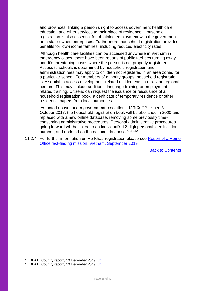and provinces, linking a person's right to access government health care, education and other services to their place of residence. Household registration is also essential for obtaining employment with the government or in state-owned enterprises. Furthermore, household registration provides benefits for low-income families, including reduced electricity rates.

'Although health care facilities can be accessed anywhere in Vietnam in emergency cases, there have been reports of public facilities turning away non-life-threatening cases where the person is not properly registered. Access to schools is determined by household registration and administration fees may apply to children not registered in an area zoned for a particular school. For members of minority groups, household registration is essential to access development-related entitlements in rural and regional centres. This may include additional language training or employment related training. Citizens can request the issuance or reissuance of a household registration book, a certificate of temporary residence or other residential papers from local authorities.

'As noted above, under government resolution 112/NQ-CP issued 31 October 2017, the household registration book will be abolished in 2020 and replaced with a new online database, removing some previously timeconsuming administrative procedures. Personal administrative procedures going forward will be linked to an individual's 12-digit personal identification number, and updated on the national database.<sup>'111,112</sup>

<span id="page-35-0"></span>11.2.4 For further information on Ho Khau registration please see Report of a Home [Office fact-finding mission, Vietnam, September 2019](https://www.gov.uk/government/publications/vietnam-country-policy-and-information-notes)

[Back to Contents](#page-2-0)

 $\overline{a}$ 

<sup>&</sup>lt;sup>111</sup> DFAT, 'Country report', 13 December 2019, [url.](http://dfat.gov.au/about-us/publications/Documents/country-information-report-vietnam.pdf)

<sup>&</sup>lt;sup>112</sup> DFAT, 'Country report', 13 December 2019, [url.](http://dfat.gov.au/about-us/publications/Documents/country-information-report-vietnam.pdf)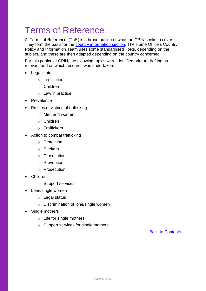# <span id="page-36-0"></span>Terms of Reference

A 'Terms of Reference' (ToR) is a broad outline of what the CPIN seeks to cover. They form the basis for the [country information section.](#page-11-1) The Home Office's Country Policy and Information Team uses some standardised ToRs, depending on the subject, and these are then adapted depending on the country concerned.

For this particular CPIN, the following topics were identified prior to drafting as relevant and on which research was undertaken:

- Legal status
	- o Legislation
	- o Children
	- o Law in practice
- Prevalence
- Profiles of victims of trafficking
	- o Men and women
	- o Children
	- o Traffickers
- Action to combat trafficking
	- o Protection
	- o Shelters
	- o Prosecution
	- o Prevention
	- o Prosecution
- Children
	- o Support services
- Lone/single women
	- o Legal status
	- o Discrimination of lone/single women
- Single mothers
	- o Life for single mothers
	- o Support services for single mothers

[Back to Contents](#page-2-0)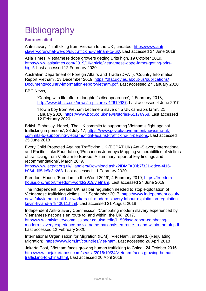# <span id="page-37-0"></span>**Bibliography**

# <span id="page-37-1"></span>**Sources cited**

Anti-slavery, 'Trafficking from Vietnam to the UK', undated, [https://www.anti](https://www.antislavery.org/‌what-we-do/uk/trafficking-vietnam-to-uk/) [slavery.org/what-we-do/uk/trafficking-vietnam-to-uk/.](https://www.antislavery.org/‌what-we-do/uk/trafficking-vietnam-to-uk/) Last accessed 24 June 2019

Asia Times, Vietnamese dope growers getting Brits high, 19 October 2019, [https://www.asiatimes.com/2019/10/article/vietnamese-dope-farms-getting-brits](https://www.asiatimes.com/2019/10/article/vietnamese-dope-farms-getting-brits-high/)[high/.](https://www.asiatimes.com/2019/10/article/vietnamese-dope-farms-getting-brits-high/) Last accessed 12 February 2020

Australian Department of Foreign Affairs and Trade (DFAT), 'Country Information Report Vietnam', 13 December 2019, [https://dfat.gov.au/about-us/publications/](https://dfat.gov.au/about-us/publications/‌Documents/country-information-report-vietnam.pdf) [Documents/country-information-report-vietnam.pdf.](https://dfat.gov.au/about-us/publications/‌Documents/country-information-report-vietnam.pdf) Last accessed 27 January 2020

BBC News,

'Coping with life after a daughter's disappearance', 2 February 2018, [http://www.bbc.co.uk/news/in-pictures-42619927.](http://www.bbc.co.uk/news/in-pictures-42619927) Last accessed 4 June 2019

'How a boy from Vietnam became a slave on a UK cannabis farm'*,* 21 January 2020, [https://www.bbc.co.uk/news/stories-51176958.](https://www.bbc.co.uk/news/stories-51176958) Last accessed 12 February 2020

British Embassy- Hanoi, 'The UK commits to supporting Vietnam's fight against trafficking in persons', 28 July 17, [https://www.gov.uk/government/news/the-uk](https://www.gov.uk/government/news/the-uk-commits-to-supporting-vietnams-fight-against-trafficking-in-persons)[commits-to-supporting-vietnams-fight-against-trafficking-in-persons.](https://www.gov.uk/government/news/the-uk-commits-to-supporting-vietnams-fight-against-trafficking-in-persons) Last accessed 25 June 2018

Every Child Protected Against Trafficking UK (ECPAT UK) Anti-Slavery International and Pacific Links Foundation, 'Precarious Journeys Mapping vulnerabilities of victims of trafficking from Vietnam to Europe, A summary report of key findings and recommendations', March 2019,

[https://www.ecpat.org.uk/Handlers/Download.ashx?IDMF=00b7f321-ddce-4f16](https://www.ecpat.org.uk/Handlers/Download.ashx?IDMF=00b7f321-ddce-4f16-b064-d65dc5c3e268) [b064-d65dc5c3e268.](https://www.ecpat.org.uk/Handlers/Download.ashx?IDMF=00b7f321-ddce-4f16-b064-d65dc5c3e268) Last accessed: 11 February 2020

Freedom House, 'Freedom in the World 2019', 4 February 2019, [https://freedom](https://freedomhouse.org/report/freedom-world/2019/vietnam) [house.org/report/freedom-world/2019/vietnam.](https://freedomhouse.org/report/freedom-world/2019/vietnam) Last accessed 24 June 2019

The Independent, Greater UK nail bar regulation needed to stop exploitation of Vietnamese trafficking victims', 12 September 2017, [https://www.independent.co.uk/](https://www.independent.co.uk/‌news/uk/vietnam-nail-bar-workers-uk-modern-slavery-labour-exploitation-regulation-kevin-hyland-a7943011.html) [news/uk/vietnam-nail-bar-workers-uk-modern-slavery-labour-exploitation-regulation](https://www.independent.co.uk/‌news/uk/vietnam-nail-bar-workers-uk-modern-slavery-labour-exploitation-regulation-kevin-hyland-a7943011.html)[kevin-hyland-a7943011.html.](https://www.independent.co.uk/‌news/uk/vietnam-nail-bar-workers-uk-modern-slavery-labour-exploitation-regulation-kevin-hyland-a7943011.html) Last accessed 21 August 2018

Independent Anti-Slavery Commission, 'Combating modern slavery experienced by Vietnamese nationals en route to, and within, the UK', 2017, [http://www.antislaverycommissioner.co.uk/media/1159/iasc-report-combating](http://www.antislaverycommissioner.co.uk/media/1159/iasc-report-combating-modern-slavery-experience-by-vietname-nationals-en-route-to-and-within-the-uk.pdf)[modern-slavery-experience-by-vietname-nationals-en-route-to-and-within-the-uk.pdf.](http://www.antislaverycommissioner.co.uk/media/1159/iasc-report-combating-modern-slavery-experience-by-vietname-nationals-en-route-to-and-within-the-uk.pdf) Last accessed 12 February 2020

International Organisation for Migration (IOM), 'Viet Nam', undated, (Regulating Migration), [https://www.iom.int/countries/viet-nam.](https://www.iom.int/countries/viet-nam) Last accessed 26 April 2018

Jakarta Post, 'Vietnam faces growing human trafficking to China', 24 October 2016 [http://www.thejakartapost.com/seasia/2016/10/24/vietnam-faces-growing-human](http://www.thejakartapost.com/seasia/2016/10/24/vietnam-faces-growing-human-trafficking-to-china.html)[trafficking-to-china.html.](http://www.thejakartapost.com/seasia/2016/10/24/vietnam-faces-growing-human-trafficking-to-china.html) Last accessed 20 April 2018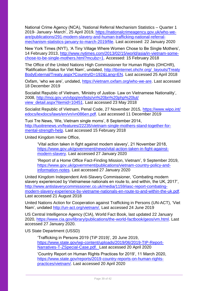National Crime Agency (NCA), 'National Referral Mechanism Statistics – Quarter 1 2019- January- March', 25 April 2019, [https://nationalcrimeagency.gov.uk/who-we](https://nationalcrimeagency.gov.uk/who-we-are/publications/291-modern-slavery-and-human-trafficking-national-referral-mechanism-statistics-january-to-march-2019/file)[are/publications/291-modern-slavery-and-human-trafficking-national-referral](https://nationalcrimeagency.gov.uk/who-we-are/publications/291-modern-slavery-and-human-trafficking-national-referral-mechanism-statistics-january-to-march-2019/file)[mechanism-statistics-january-to-march-2019/file.](https://nationalcrimeagency.gov.uk/who-we-are/publications/291-modern-slavery-and-human-trafficking-national-referral-mechanism-statistics-january-to-march-2019/file) Last accessed: 22 January 2020

New York Times (NYT), 'A Tiny Village Where Women Chose to Be Single Mothers', 14 February 2013, [http://www.nytimes.com/2013/02/15/world/asia/in-vietnam-some](http://www.nytimes.com/2013/02/15/world/asia/in-vietnam-some-chose-to-be-single-mothers.html?mcubz=1)[chose-to-be-single-mothers.html?mcubz=1.](http://www.nytimes.com/2013/02/15/world/asia/in-vietnam-some-chose-to-be-single-mothers.html?mcubz=1) Accessed: 15 February 2018

The Office of the United Nations High Commissioner for Human Rights (OHCHR), 'Ratification Status for Viet Nam', undated, [http://tbinternet.ohchr.org/\\_layouts/Treaty](http://tbinternet.ohchr.org/‌_layouts/‌Treaty‌BodyExternal/Treaty.aspx?CountryID=192&Lang=EN) [BodyExternal/Treaty.aspx?CountryID=192&Lang=EN.](http://tbinternet.ohchr.org/‌_layouts/‌Treaty‌BodyExternal/Treaty.aspx?CountryID=192&Lang=EN) Last accessed 25 April 2018

Oxfam, 'who we are', undated, [https://vietnam.oxfam.org/who-we-are.](https://vietnam.oxfam.org/who-we-are) Last accessed 18 December 2019

Socialist Republic of Vietnam, 'Ministry of Justice- Law on Vietnamese Nationality', 2008, [http://moj.gov.vn/vbpq/en/lists/vn%20bn%20php%20lut/](http://moj.gov.vn/vbpq/en/lists/vn%20bn%20php%20lut/‌view_detail.aspx?itemid=10451) [view\\_detail.aspx?itemid=10451.](http://moj.gov.vn/vbpq/en/lists/vn%20bn%20php%20lut/‌view_detail.aspx?itemid=10451) Last accessed 23 May 2018

Socialist Republic of Vietnam, Penal Code, 27 November 2015, [https://www.wipo.int/](https://www.wipo.int/‌edocs/lexdocs/laws/en/vn/vn086en.pdf) [edocs/lexdocs/laws/en/vn/vn086en.pdf.](https://www.wipo.int/‌edocs/lexdocs/laws/en/vn/vn086en.pdf) Last accessed 11 December 2019

Tuoi Tre News, 'We, Vietnam single moms', 8 September 2014, [http://tuoitrenews.vn/features/22235/vietnam-single-mothers-stand-together-for](http://tuoitrenews.vn/features/22235/vietnam-single-mothers-stand-together-for-mental-strength-help)[mental-strength-help.](http://tuoitrenews.vn/features/22235/vietnam-single-mothers-stand-together-for-mental-strength-help) Last accessed 15 February 2018

United Kingdom Home Office,

'Vital action taken in fight against modern slavery', 21 November 2018, [https://www.gov.uk/government/news/vital-action-taken-in-fight-against](https://www.gov.uk/government/news/vital-action-taken-in-fight-against-modern-slavery)[modern-slavery.](https://www.gov.uk/government/news/vital-action-taken-in-fight-against-modern-slavery) Last accessed 27 January 2020

'Report of a Home Office Fact-Finding Mission, Vietnam', 9 September 2019, [https://www.gov.uk/government/publications/vietnam-country-policy-and](https://www.gov.uk/government/publications/vietnam-country-policy-and-information-notes)[information-notes.](https://www.gov.uk/government/publications/vietnam-country-policy-and-information-notes) Last accessed 27 January 2020

United Kingdom Independent Anti-Slavery Commissioner, 'Combating modern slavery experienced by Vietnamese nationals en route to, and within, the UK, 2017', [http://www.antislaverycommissioner.co.uk/media/1159/iasc-report-combating](http://www.antislaverycommissioner.co.uk/media/1159/iasc-report-combating-modern-slavery-experience-by-vietname-nationals-en-route-to-and-within-the-uk.pdf)[modern-slavery-experience-by-vietname-nationals-en-route-to-and-within-the-uk.pdf](http://www.antislaverycommissioner.co.uk/media/1159/iasc-report-combating-modern-slavery-experience-by-vietname-nationals-en-route-to-and-within-the-uk.pdf). Last accessed 21 August 2018

United Nations Action for Cooperation against Trafficking in Persons (UN-ACT), 'Viet Nam', undated [http://un-act.org/vietnam/.](http://un-act.org/vietnam/) Last accessed 24 June 2019

US Central Intelligence Agency (CIA), World Fact Book, last updated 22 January 2020, [https://www.cia.gov/library/publications/the-world-factbook/geos/vm.html.](https://www.cia.gov/library/publications/the-world-factbook/geos/vm.html) Last accessed 27 January 2020.

US State Department (USSD)

'Trafficking in Persons 2019 (TiP 2019)', 20 June 2019, [https://www.state.gov/wp-content/uploads/2019/06/2019-TIP-Report-](https://www.state.gov/wp-content/uploads/2019/06/2019-TIP-Report-Narratives-T-ZSpecial-Case.pdf)[Narratives-T-ZSpecial-Case.pdf.](https://www.state.gov/wp-content/uploads/2019/06/2019-TIP-Report-Narratives-T-ZSpecial-Case.pdf) Last accessed 20 April 2020

'Country Report on Human Rights Practices for 2019', 11 March 2020, [https://www.state.gov/reports/2019-country-reports-on-human-rights](https://www.state.gov/reports/2019-country-reports-on-human-rights-practices/vietnam/)[practices/vietnam/.](https://www.state.gov/reports/2019-country-reports-on-human-rights-practices/vietnam/) Last accessed 20 April 2020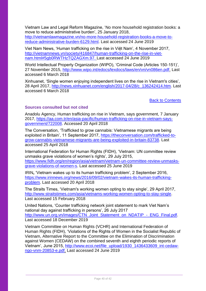Vietnam Law and Legal Reform Magazine, 'No more household registration books: a move to reduce administrative burden', 25 January 2018, [http://vietnamlawmagazine.vn/no-more-household-registration-books-a-move-to](http://vietnamlawmagazine.vn/no-more-household-registration-books-a-move-to-reduce-administrative-burden-6129.html)[reduce-administrative-burden-6129.html.](http://vietnamlawmagazine.vn/no-more-household-registration-books-a-move-to-reduce-administrative-burden-6129.html) Last accessed 24 June 2019

Viet Nam News, 'Human trafficking on the rise in Việt Nam', 4 November 2017, [http://vietnamnews.vn/society/416847/human-trafficking-on-the-rise-in-viet](http://vietnamnews.vn/society/416847/human-trafficking-on-the-rise-in-viet-nam.html#5gb0RWTHzTQZAGXm.97)[nam.html#5gb0RWTHzTQZAGXm.97.](http://vietnamnews.vn/society/416847/human-trafficking-on-the-rise-in-viet-nam.html#5gb0RWTHzTQZAGXm.97) Last accessed 24 June 2019

World Intellectual Property Organization (WIPO), 'Criminal Code (Articles 150-151)', 27 November 2015, [http://www.wipo.int/edocs/lexdocs/laws/en/vn/vn086en.pdf.](http://www.wipo.int/edocs/lexdocs/laws/en/vn/vn086en.pdf) Last accessed 6 March 2018

Xinhuanet, 'Single women enjoying independent lives on the rise in Vietnam's cities', 28 April 2017, [http://news.xinhuanet.com/english/2017-04/28/c\\_136242414.htm.](http://news.xinhuanet.com/english/‌2017-04/28/c_136242414.htm) Last accessed 6 March 2018

[Back to Contents](file:///C:/Users/corbetl2/AppData/Local/Microsoft/Windows/INetCache/IE/GTVWD028/vietnam-country-policy-info-trafficking-sep-18.docx%23contents)

# <span id="page-39-0"></span>**Sources consulted but not cited**

Anadolu Agency, Human trafficking on rise in Vietnam, says government, 7 January 2017, [https://aa.com.tr/en/asia-pacific/human-trafficking-on-rise-in-vietnam-says](https://aa.com.tr/en/asia-pacific/human-trafficking-on-rise-in-vietnam-says-government/722008)[government/722008.](https://aa.com.tr/en/asia-pacific/human-trafficking-on-rise-in-vietnam-says-government/722008) Accessed 20 April 2018

The Conversation, 'Trafficked to grow cannabis: Vietnamese migrants are being exploited in Britain', 11 September 2017, [https://theconversation.com/trafficked-to](https://theconversation.com/trafficked-to-grow-cannabis-vietnamese-migrants-are-being-exploited-in-britain-83738)[grow-cannabis-vietnamese-migrants-are-being-exploited-in-britain-83738.](https://theconversation.com/trafficked-to-grow-cannabis-vietnamese-migrants-are-being-exploited-in-britain-83738) Last accessed 25 April 2018

International Federation for Human Rights (FIDH), 'Vietnam: UN committee review unmasks grave violations of women's rights', 29 July 2015, [https://www.fidh.org/en/region/asia/vietnam/vietnam-un-committee-review-unmasks](https://www.fidh.org/en/region/asia/vietnam/vietnam-un-committee-review-unmasks-grave-violations-of-women-s)[grave-violations-of-women-s.](https://www.fidh.org/en/region/asia/vietnam/vietnam-un-committee-review-unmasks-grave-violations-of-women-s) Last accessed 25 June 2019

IRIN**,** 'Vietnam wakes up to its human trafficking problem', 2 September 2016, [https://www.irinnews.org/news/2016/09/02/vietnam-wakes-its-human-trafficking](https://www.irinnews.org/news/2016/09/02/vietnam-wakes-its-human-trafficking-problem)[problem.](https://www.irinnews.org/news/2016/09/02/vietnam-wakes-its-human-trafficking-problem) Last accessed 20 April 2018

The Straits Times, 'Vietnam's working women opting to stay single', 29 April 2017, [http://www.straitstimes.com/asia/vietnams-working-women-opting-to-stay-single.](http://www.straitstimes.com/asia/vietnams-working-women-opting-to-stay-single) Last accessed 15 February 2018

United Nations, 'Counter trafficking network joint statement to mark Viet Nam's national day against trafficking in persons', 26 July 2017 [http://www.un.org.vn/images/CTN\\_Joint\\_Statement\\_on\\_NDATIP\\_-\\_ENG\\_Final.pdf.](http://www.un.org.vn/images/CTN_Joint_Statement_on_NDATIP_-_ENG_Final.pdf) Last accessed 18 December 2019

Vietnam Committee on Human Rights (VCHR) and International Federation of Human Rights (FIDH), 'Violations of the Rights of Women in the Socialist Republic of Vietnam, Alternative Report to the Committee on the Elimination of Discrimination against Women (CEDAW) on the combined seventh and eighth periodic reports of Vietnam', June 2015, [http://www.ecoi.net/file\\_upload/1930\\_1436433609\\_int-cedaw](http://www.ecoi.net/file_upload/1930_1436433609_int-cedaw-ngo-vnm-20853-e.pdf)[ngo-vnm-20853-e.pdf.](http://www.ecoi.net/file_upload/1930_1436433609_int-cedaw-ngo-vnm-20853-e.pdf) Last accessed 24 June 2019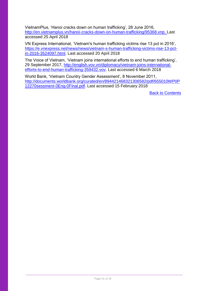VietnamPlus, 'Hanoi cracks down on human trafficking', 28 June 2016, [http://en.vietnamplus.vn/hanoi-cracks-down-on-human-trafficking/95368.vnp.](http://en.vietnamplus.vn/hanoi-cracks-down-on-human-trafficking/95368.vnp) Last accessed 25 April 2018

VN Express International, 'Vietnam's human trafficking victims rise 13 pct in 2016', [https://e.vnexpress.net/news/news/vietnam-s-human-trafficking-victims-rise-13-pct](https://e.vnexpress.net/news/news/vietnam-s-human-trafficking-victims-rise-13-pct-in-2016-3524097.html)[in-2016-3524097.html.](https://e.vnexpress.net/news/news/vietnam-s-human-trafficking-victims-rise-13-pct-in-2016-3524097.html) Last accessed 20 April 2018

The Voice of Vietnam, 'Vietnam joins international efforts to end human trafficking', 29 September 2017, [http://english.vov.vn/diplomacy/vietnam-joins-international](http://english.vov.vn/diplomacy/vietnam-joins-international-efforts-to-end-human-trafficking-359432.vov)[efforts-to-end-human-trafficking-359432.vov.](http://english.vov.vn/diplomacy/vietnam-joins-international-efforts-to-end-human-trafficking-359432.vov) Last accessed 6 March 2018

World Bank, 'Vietnam Country Gender Assessment', 8 November 2011, [http://documents.worldbank.org/curated/en/894421468321306582/pdf/655010WP0P](http://documents.worldbank.org/curated/en/894421468321306582/pdf/655010WP0P12270sessment-0Eng-0Final.pdf) [12270sessment-0Eng-0Final.pdf.](http://documents.worldbank.org/curated/en/894421468321306582/pdf/655010WP0P12270sessment-0Eng-0Final.pdf) Last accessed 15 February 2018

[Back to Contents](file:///C:/Users/corbetl2/AppData/Local/Microsoft/Windows/INetCache/IE/GTVWD028/vietnam-country-policy-info-trafficking-sep-18.docx%23contents)